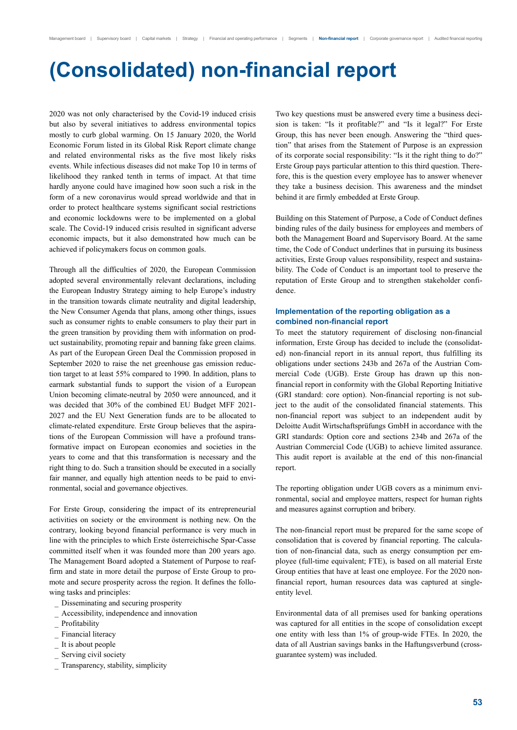# **(Consolidated) non-financial report**

2020 was not only characterised by the Covid-19 induced crisis but also by several initiatives to address environmental topics mostly to curb global warming. On 15 January 2020, the World Economic Forum listed in its Global Risk Report climate change and related environmental risks as the five most likely risks events. While infectious diseases did not make Top 10 in terms of likelihood they ranked tenth in terms of impact. At that time hardly anyone could have imagined how soon such a risk in the form of a new coronavirus would spread worldwide and that in order to protect healthcare systems significant social restrictions and economic lockdowns were to be implemented on a global scale. The Covid-19 induced crisis resulted in significant adverse economic impacts, but it also demonstrated how much can be achieved if policymakers focus on common goals.

Through all the difficulties of 2020, the European Commission adopted several environmentally relevant declarations, including the European Industry Strategy aiming to help Europe's industry in the transition towards climate neutrality and digital leadership, the New Consumer Agenda that plans, among other things, issues such as consumer rights to enable consumers to play their part in the green transition by providing them with information on product sustainability, promoting repair and banning fake green claims. As part of the European Green Deal the Commission proposed in September 2020 to raise the net greenhouse gas emission reduction target to at least 55% compared to 1990. In addition, plans to earmark substantial funds to support the vision of a European Union becoming climate-neutral by 2050 were announced, and it was decided that 30% of the combined EU Budget MFF 2021- 2027 and the EU Next Generation funds are to be allocated to climate-related expenditure. Erste Group believes that the aspirations of the European Commission will have a profound transformative impact on European economies and societies in the years to come and that this transformation is necessary and the right thing to do. Such a transition should be executed in a socially fair manner, and equally high attention needs to be paid to environmental, social and governance objectives.

For Erste Group, considering the impact of its entrepreneurial activities on society or the environment is nothing new. On the contrary, looking beyond financial performance is very much in line with the principles to which Erste österreichische Spar-Casse committed itself when it was founded more than 200 years ago. The Management Board adopted a Statement of Purpose to reaffirm and state in more detail the purpose of Erste Group to promote and secure prosperity across the region. It defines the following tasks and principles:

- Disseminating and securing prosperity
- Accessibility, independence and innovation
- Profitability
- Financial literacy
- It is about people
- Serving civil society
- Transparency, stability, simplicity

Two key questions must be answered every time a business decision is taken: "Is it profitable?" and "Is it legal?" For Erste Group, this has never been enough. Answering the "third question" that arises from the Statement of Purpose is an expression of its corporate social responsibility: "Is it the right thing to do?" Erste Group pays particular attention to this third question. Therefore, this is the question every employee has to answer whenever they take a business decision. This awareness and the mindset behind it are firmly embedded at Erste Group.

Building on this Statement of Purpose, a Code of Conduct defines binding rules of the daily business for employees and members of both the Management Board and Supervisory Board. At the same time, the Code of Conduct underlines that in pursuing its business activities, Erste Group values responsibility, respect and sustainability. The Code of Conduct is an important tool to preserve the reputation of Erste Group and to strengthen stakeholder confidence.

#### **Implementation of the reporting obligation as a combined non-financial report**

To meet the statutory requirement of disclosing non-financial information, Erste Group has decided to include the (consolidated) non-financial report in its annual report, thus fulfilling its obligations under sections 243b and 267a of the Austrian Commercial Code (UGB). Erste Group has drawn up this nonfinancial report in conformity with the Global Reporting Initiative (GRI standard: core option). Non-financial reporting is not subject to the audit of the consolidated financial statements. This non-financial report was subject to an independent audit by Deloitte Audit Wirtschaftsprüfungs GmbH in accordance with the GRI standards: Option core and sections 234b and 267a of the Austrian Commercial Code (UGB) to achieve limited assurance. This audit report is available at the end of this non-financial report.

The reporting obligation under UGB covers as a minimum environmental, social and employee matters, respect for human rights and measures against corruption and bribery.

The non-financial report must be prepared for the same scope of consolidation that is covered by financial reporting. The calculation of non-financial data, such as energy consumption per employee (full-time equivalent; FTE), is based on all material Erste Group entities that have at least one employee. For the 2020 nonfinancial report, human resources data was captured at singleentity level.

Environmental data of all premises used for banking operations was captured for all entities in the scope of consolidation except one entity with less than 1% of group-wide FTEs. In 2020, the data of all Austrian savings banks in the Haftungsverbund (crossguarantee system) was included.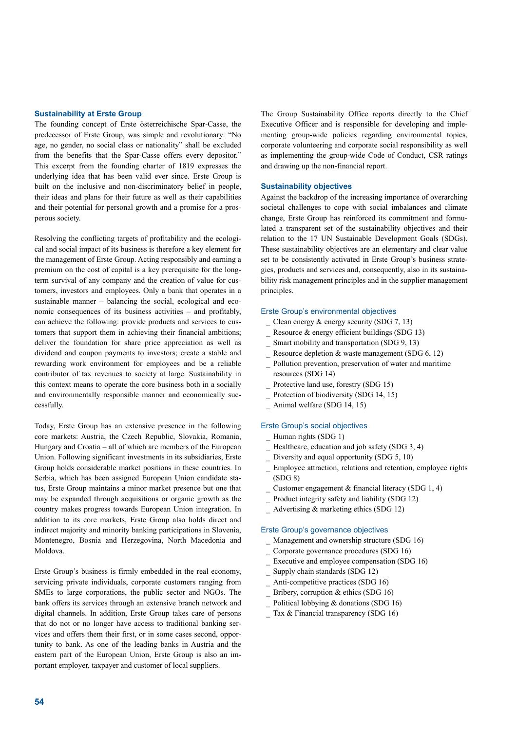#### **Sustainability at Erste Group**

The founding concept of Erste österreichische Spar-Casse, the predecessor of Erste Group, was simple and revolutionary: "No age, no gender, no social class or nationality" shall be excluded from the benefits that the Spar-Casse offers every depositor." This excerpt from the founding charter of 1819 expresses the underlying idea that has been valid ever since. Erste Group is built on the inclusive and non-discriminatory belief in people, their ideas and plans for their future as well as their capabilities and their potential for personal growth and a promise for a prosperous society.

Resolving the conflicting targets of profitability and the ecological and social impact of its business is therefore a key element for the management of Erste Group. Acting responsibly and earning a premium on the cost of capital is a key prerequisite for the longterm survival of any company and the creation of value for customers, investors and employees. Only a bank that operates in a sustainable manner – balancing the social, ecological and economic consequences of its business activities – and profitably, can achieve the following: provide products and services to customers that support them in achieving their financial ambitions; deliver the foundation for share price appreciation as well as dividend and coupon payments to investors; create a stable and rewarding work environment for employees and be a reliable contributor of tax revenues to society at large. Sustainability in this context means to operate the core business both in a socially and environmentally responsible manner and economically successfully.

Today, Erste Group has an extensive presence in the following core markets: Austria, the Czech Republic, Slovakia, Romania, Hungary and Croatia – all of which are members of the European Union. Following significant investments in its subsidiaries, Erste Group holds considerable market positions in these countries. In Serbia, which has been assigned European Union candidate status, Erste Group maintains a minor market presence but one that may be expanded through acquisitions or organic growth as the country makes progress towards European Union integration. In addition to its core markets, Erste Group also holds direct and indirect majority and minority banking participations in Slovenia, Montenegro, Bosnia and Herzegovina, North Macedonia and Moldova.

Erste Group's business is firmly embedded in the real economy, servicing private individuals, corporate customers ranging from SMEs to large corporations, the public sector and NGOs. The bank offers its services through an extensive branch network and digital channels. In addition, Erste Group takes care of persons that do not or no longer have access to traditional banking services and offers them their first, or in some cases second, opportunity to bank. As one of the leading banks in Austria and the eastern part of the European Union, Erste Group is also an important employer, taxpayer and customer of local suppliers.

The Group Sustainability Office reports directly to the Chief Executive Officer and is responsible for developing and implementing group-wide policies regarding environmental topics, corporate volunteering and corporate social responsibility as well as implementing the group-wide Code of Conduct, CSR ratings and drawing up the non-financial report.

#### **Sustainability objectives**

Against the backdrop of the increasing importance of overarching societal challenges to cope with social imbalances and climate change, Erste Group has reinforced its commitment and formulated a transparent set of the sustainability objectives and their relation to the 17 UN Sustainable Development Goals (SDGs). These sustainability objectives are an elementary and clear value set to be consistently activated in Erste Group's business strategies, products and services and, consequently, also in its sustainability risk management principles and in the supplier management principles.

#### Erste Group's environmental objectives

- Clean energy & energy security (SDG 7, 13)
- Resource & energy efficient buildings (SDG 13)
- Smart mobility and transportation (SDG 9, 13)
- Resource depletion & waste management (SDG 6, 12)
- Pollution prevention, preservation of water and maritime resources (SDG 14)
- Protective land use, forestry (SDG 15)
- Protection of biodiversity (SDG 14, 15)
- Animal welfare (SDG 14, 15)

#### Erste Group's social objectives

- Human rights (SDG 1)
- Healthcare, education and job safety (SDG 3, 4)
- Diversity and equal opportunity (SDG 5, 10)
- Employee attraction, relations and retention, employee rights (SDG 8)
- Customer engagement & financial literacy (SDG 1, 4)
- Product integrity safety and liability (SDG 12)
- Advertising & marketing ethics (SDG 12)

#### Erste Group's governance objectives

- Management and ownership structure (SDG 16)
- Corporate governance procedures (SDG 16)
- Executive and employee compensation (SDG 16)
- Supply chain standards (SDG 12)
- Anti-competitive practices (SDG 16)
- Bribery, corruption & ethics (SDG 16)
- Political lobbying & donations (SDG 16)
- Tax & Financial transparency (SDG 16)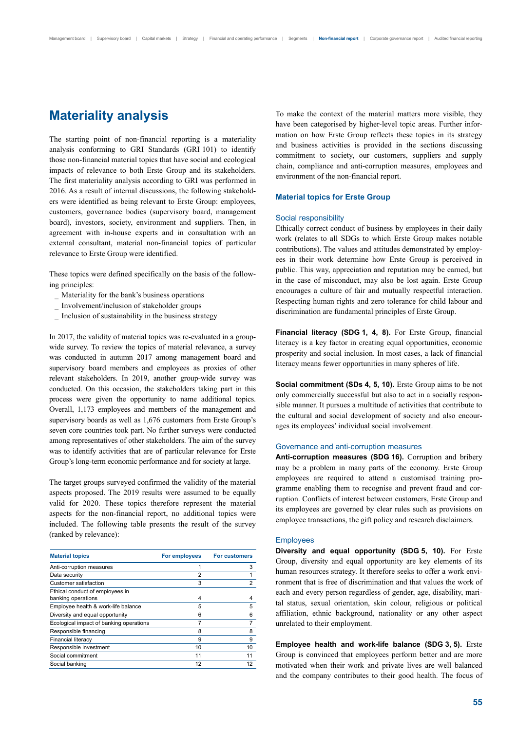# **Materiality analysis**

The starting point of non-financial reporting is a materiality analysis conforming to GRI Standards (GRI 101) to identify those non-financial material topics that have social and ecological impacts of relevance to both Erste Group and its stakeholders. The first materiality analysis according to GRI was performed in 2016. As a result of internal discussions, the following stakeholders were identified as being relevant to Erste Group: employees, customers, governance bodies (supervisory board, management board), investors, society, environment and suppliers. Then, in agreement with in-house experts and in consultation with an external consultant, material non-financial topics of particular relevance to Erste Group were identified.

These topics were defined specifically on the basis of the following principles:

- Materiality for the bank's business operations
- Involvement/inclusion of stakeholder groups
- Inclusion of sustainability in the business strategy

In 2017, the validity of material topics was re-evaluated in a groupwide survey. To review the topics of material relevance, a survey was conducted in autumn 2017 among management board and supervisory board members and employees as proxies of other relevant stakeholders. In 2019, another group-wide survey was conducted. On this occasion, the stakeholders taking part in this process were given the opportunity to name additional topics. Overall, 1,173 employees and members of the management and supervisory boards as well as 1,676 customers from Erste Group's seven core countries took part. No further surveys were conducted among representatives of other stakeholders. The aim of the survey was to identify activities that are of particular relevance for Erste Group's long-term economic performance and for society at large.

The target groups surveyed confirmed the validity of the material aspects proposed. The 2019 results were assumed to be equally valid for 2020. These topics therefore represent the material aspects for the non-financial report, no additional topics were included. The following table presents the result of the survey (ranked by relevance):

| <b>Material topics</b>                  | For employees  | <b>For customers</b> |
|-----------------------------------------|----------------|----------------------|
| Anti-corruption measures                |                | 3                    |
| Data security                           | $\overline{2}$ |                      |
| Customer satisfaction                   | 3              | 2                    |
| Ethical conduct of employees in         |                |                      |
| banking operations                      | 4              | 4                    |
| Employee health & work-life balance     | 5              | 5                    |
| Diversity and equal opportunity         | 6              | 6                    |
| Ecological impact of banking operations | 7              | 7                    |
| Responsible financing                   | 8              | 8                    |
| <b>Financial literacy</b>               | 9              | 9                    |
| Responsible investment                  | 10             | 10                   |
| Social commitment                       | 11             | 11                   |
| Social banking                          | 12             | 12                   |

To make the context of the material matters more visible, they have been categorised by higher-level topic areas. Further information on how Erste Group reflects these topics in its strategy and business activities is provided in the sections discussing commitment to society, our customers, suppliers and supply chain, compliance and anti-corruption measures, employees and environment of the non-financial report.

#### **Material topics for Erste Group**

#### Social responsibility

Ethically correct conduct of business by employees in their daily work (relates to all SDGs to which Erste Group makes notable contributions). The values and attitudes demonstrated by employees in their work determine how Erste Group is perceived in public. This way, appreciation and reputation may be earned, but in the case of misconduct, may also be lost again. Erste Group encourages a culture of fair and mutually respectful interaction. Respecting human rights and zero tolerance for child labour and discrimination are fundamental principles of Erste Group.

**Financial literacy (SDG 1, 4, 8).** For Erste Group, financial literacy is a key factor in creating equal opportunities, economic prosperity and social inclusion. In most cases, a lack of financial literacy means fewer opportunities in many spheres of life.

**Social commitment (SDs 4, 5, 10).** Erste Group aims to be not only commercially successful but also to act in a socially responsible manner. It pursues a multitude of activities that contribute to the cultural and social development of society and also encourages its employees' individual social involvement.

### Governance and anti-corruption measures

**Anti-corruption measures (SDG 16).** Corruption and bribery may be a problem in many parts of the economy. Erste Group employees are required to attend a customised training programme enabling them to recognise and prevent fraud and corruption. Conflicts of interest between customers, Erste Group and its employees are governed by clear rules such as provisions on employee transactions, the gift policy and research disclaimers.

#### **Employees**

**Diversity and equal opportunity (SDG 5, 10).** For Erste Group, diversity and equal opportunity are key elements of its human resources strategy. It therefore seeks to offer a work environment that is free of discrimination and that values the work of each and every person regardless of gender, age, disability, marital status, sexual orientation, skin colour, religious or political affiliation, ethnic background, nationality or any other aspect unrelated to their employment.

**Employee health and work-life balance (SDG 3, 5).** Erste Group is convinced that employees perform better and are more motivated when their work and private lives are well balanced and the company contributes to their good health. The focus of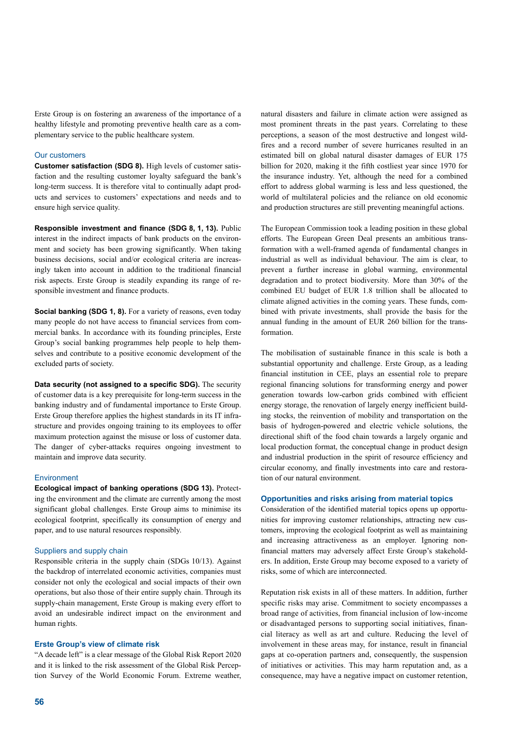Erste Group is on fostering an awareness of the importance of a healthy lifestyle and promoting preventive health care as a complementary service to the public healthcare system.

#### Our customers

**Customer satisfaction (SDG 8).** High levels of customer satisfaction and the resulting customer loyalty safeguard the bank's long-term success. It is therefore vital to continually adapt products and services to customers' expectations and needs and to ensure high service quality.

**Responsible investment and finance (SDG 8, 1, 13).** Public interest in the indirect impacts of bank products on the environment and society has been growing significantly. When taking business decisions, social and/or ecological criteria are increasingly taken into account in addition to the traditional financial risk aspects. Erste Group is steadily expanding its range of responsible investment and finance products.

**Social banking (SDG 1, 8).** For a variety of reasons, even today many people do not have access to financial services from commercial banks. In accordance with its founding principles, Erste Group's social banking programmes help people to help themselves and contribute to a positive economic development of the excluded parts of society.

**Data security (not assigned to a specific SDG).** The security of customer data is a key prerequisite for long-term success in the banking industry and of fundamental importance to Erste Group. Erste Group therefore applies the highest standards in its IT infrastructure and provides ongoing training to its employees to offer maximum protection against the misuse or loss of customer data. The danger of cyber-attacks requires ongoing investment to maintain and improve data security.

#### Environment

**Ecological impact of banking operations (SDG 13).** Protecting the environment and the climate are currently among the most significant global challenges. Erste Group aims to minimise its ecological footprint, specifically its consumption of energy and paper, and to use natural resources responsibly.

#### Suppliers and supply chain

Responsible criteria in the supply chain (SDGs 10/13). Against the backdrop of interrelated economic activities, companies must consider not only the ecological and social impacts of their own operations, but also those of their entire supply chain. Through its supply-chain management, Erste Group is making every effort to avoid an undesirable indirect impact on the environment and human rights.

#### **Erste Group's view of climate risk**

"A decade left" is a clear message of the Global Risk Report 2020 and it is linked to the risk assessment of the Global Risk Perception Survey of the World Economic Forum. Extreme weather, natural disasters and failure in climate action were assigned as most prominent threats in the past years. Correlating to these perceptions, a season of the most destructive and longest wildfires and a record number of severe hurricanes resulted in an estimated bill on global natural disaster damages of EUR 175 billion for 2020, making it the fifth costliest year since 1970 for the insurance industry. Yet, although the need for a combined effort to address global warming is less and less questioned, the world of multilateral policies and the reliance on old economic and production structures are still preventing meaningful actions.

The European Commission took a leading position in these global efforts. The European Green Deal presents an ambitious transformation with a well-framed agenda of fundamental changes in industrial as well as individual behaviour. The aim is clear, to prevent a further increase in global warming, environmental degradation and to protect biodiversity. More than 30% of the combined EU budget of EUR 1.8 trillion shall be allocated to climate aligned activities in the coming years. These funds, combined with private investments, shall provide the basis for the annual funding in the amount of EUR 260 billion for the transformation.

The mobilisation of sustainable finance in this scale is both a substantial opportunity and challenge. Erste Group, as a leading financial institution in CEE, plays an essential role to prepare regional financing solutions for transforming energy and power generation towards low-carbon grids combined with efficient energy storage, the renovation of largely energy inefficient building stocks, the reinvention of mobility and transportation on the basis of hydrogen-powered and electric vehicle solutions, the directional shift of the food chain towards a largely organic and local production format, the conceptual change in product design and industrial production in the spirit of resource efficiency and circular economy, and finally investments into care and restoration of our natural environment.

#### **Opportunities and risks arising from material topics**

Consideration of the identified material topics opens up opportunities for improving customer relationships, attracting new customers, improving the ecological footprint as well as maintaining and increasing attractiveness as an employer. Ignoring nonfinancial matters may adversely affect Erste Group's stakeholders. In addition, Erste Group may become exposed to a variety of risks, some of which are interconnected.

Reputation risk exists in all of these matters. In addition, further specific risks may arise. Commitment to society encompasses a broad range of activities, from financial inclusion of low-income or disadvantaged persons to supporting social initiatives, financial literacy as well as art and culture. Reducing the level of involvement in these areas may, for instance, result in financial gaps at co-operation partners and, consequently, the suspension of initiatives or activities. This may harm reputation and, as a consequence, may have a negative impact on customer retention,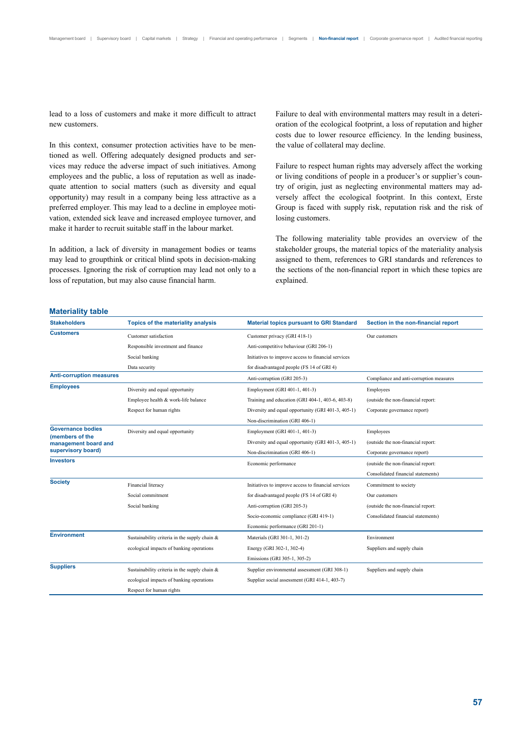lead to a loss of customers and make it more difficult to attract new customers.

In this context, consumer protection activities have to be mentioned as well. Offering adequately designed products and services may reduce the adverse impact of such initiatives. Among employees and the public, a loss of reputation as well as inadequate attention to social matters (such as diversity and equal opportunity) may result in a company being less attractive as a preferred employer. This may lead to a decline in employee motivation, extended sick leave and increased employee turnover, and make it harder to recruit suitable staff in the labour market.

In addition, a lack of diversity in management bodies or teams may lead to groupthink or critical blind spots in decision-making processes. Ignoring the risk of corruption may lead not only to a loss of reputation, but may also cause financial harm.

Failure to deal with environmental matters may result in a deterioration of the ecological footprint, a loss of reputation and higher costs due to lower resource efficiency. In the lending business, the value of collateral may decline.

Failure to respect human rights may adversely affect the working or living conditions of people in a producer's or supplier's country of origin, just as neglecting environmental matters may adversely affect the ecological footprint. In this context, Erste Group is faced with supply risk, reputation risk and the risk of losing customers.

The following materiality table provides an overview of the stakeholder groups, the material topics of the materiality analysis assigned to them, references to GRI standards and references to the sections of the non-financial report in which these topics are explained.

#### **Materiality table**

| <b>Stakeholders</b>                     | Topics of the materiality analysis            | <b>Material topics pursuant to GRI Standard</b>     | Section in the non-financial report     |
|-----------------------------------------|-----------------------------------------------|-----------------------------------------------------|-----------------------------------------|
| <b>Customers</b>                        | Customer satisfaction                         | Customer privacy (GRI 418-1)                        | Our customers                           |
|                                         | Responsible investment and finance            | Anti-competitive behaviour (GRI 206-1)              |                                         |
|                                         | Social banking                                | Initiatives to improve access to financial services |                                         |
|                                         | Data security                                 | for disadvantaged people (FS 14 of GRI 4)           |                                         |
| <b>Anti-corruption measures</b>         |                                               | Anti-corruption (GRI 205-3)                         | Compliance and anti-corruption measures |
| <b>Employees</b>                        | Diversity and equal opportunity               | Employment (GRI 401-1, 401-3)                       | Employees                               |
|                                         | Employee health & work-life balance           | Training and education (GRI 404-1, 403-6, 403-8)    | (outside the non-financial report:      |
|                                         | Respect for human rights                      | Diversity and equal opportunity (GRI 401-3, 405-1)  | Corporate governance report)            |
|                                         |                                               | Non-discrimination (GRI 406-1)                      |                                         |
| <b>Governance bodies</b>                | Diversity and equal opportunity               | Employment (GRI 401-1, 401-3)                       | Employees                               |
| (members of the<br>management board and |                                               | Diversity and equal opportunity (GRI 401-3, 405-1)  | (outside the non-financial report:      |
| supervisory board)                      |                                               | Non-discrimination (GRI 406-1)                      | Corporate governance report)            |
| <b>Investors</b>                        |                                               | Economic performance                                | (outside the non-financial report:      |
|                                         |                                               |                                                     | Consolidated financial statements)      |
| <b>Society</b>                          | Financial literacy                            | Initiatives to improve access to financial services | Commitment to society                   |
|                                         | Social commitment                             | for disadvantaged people (FS 14 of GRI 4)           | Our customers                           |
|                                         | Social banking                                | Anti-corruption (GRI 205-3)                         | (outside the non-financial report:      |
|                                         |                                               | Socio-economic compliance (GRI 419-1)               | Consolidated financial statements)      |
|                                         |                                               | Economic performance (GRI 201-1)                    |                                         |
| <b>Environment</b>                      | Sustainability criteria in the supply chain & | Materials (GRI 301-1, 301-2)                        | Environment                             |
|                                         | ecological impacts of banking operations      | Energy (GRI 302-1, 302-4)                           | Suppliers and supply chain              |
|                                         |                                               | Emissions (GRI 305-1, 305-2)                        |                                         |
| <b>Suppliers</b>                        | Sustainability criteria in the supply chain & | Supplier environmental assessment (GRI 308-1)       | Suppliers and supply chain              |
|                                         | ecological impacts of banking operations      | Supplier social assessment (GRI 414-1, 403-7)       |                                         |
|                                         | Respect for human rights                      |                                                     |                                         |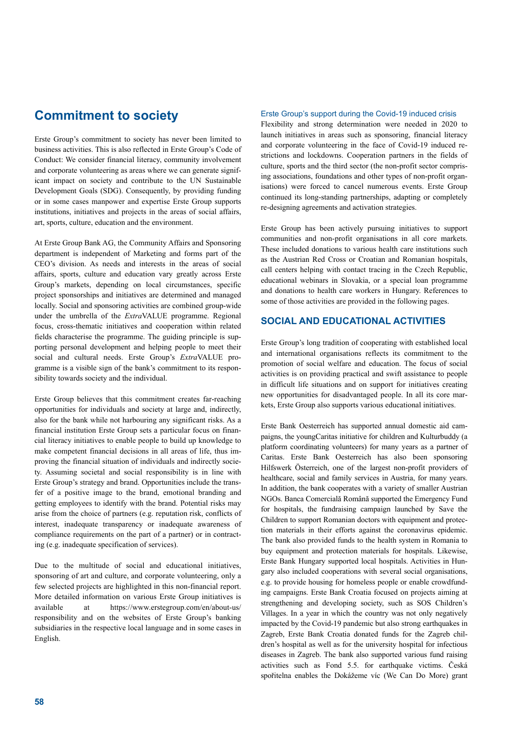# **Commitment to society**

Erste Group's commitment to society has never been limited to business activities. This is also reflected in Erste Group's Code of Conduct: We consider financial literacy, community involvement and corporate volunteering as areas where we can generate significant impact on society and contribute to the UN Sustainable Development Goals (SDG). Consequently, by providing funding or in some cases manpower and expertise Erste Group supports institutions, initiatives and projects in the areas of social affairs, art, sports, culture, education and the environment.

At Erste Group Bank AG, the Community Affairs and Sponsoring department is independent of Marketing and forms part of the CEO's division. As needs and interests in the areas of social affairs, sports, culture and education vary greatly across Erste Group's markets, depending on local circumstances, specific project sponsorships and initiatives are determined and managed locally. Social and sponsoring activities are combined group-wide under the umbrella of the *Extra*VALUE programme. Regional focus, cross-thematic initiatives and cooperation within related fields characterise the programme. The guiding principle is supporting personal development and helping people to meet their social and cultural needs. Erste Group's *Extra*VALUE programme is a visible sign of the bank's commitment to its responsibility towards society and the individual.

Erste Group believes that this commitment creates far-reaching opportunities for individuals and society at large and, indirectly, also for the bank while not harbouring any significant risks. As a financial institution Erste Group sets a particular focus on financial literacy initiatives to enable people to build up knowledge to make competent financial decisions in all areas of life, thus improving the financial situation of individuals and indirectly society. Assuming societal and social responsibility is in line with Erste Group's strategy and brand. Opportunities include the transfer of a positive image to the brand, emotional branding and getting employees to identify with the brand. Potential risks may arise from the choice of partners (e.g. reputation risk, conflicts of interest, inadequate transparency or inadequate awareness of compliance requirements on the part of a partner) or in contracting (e.g. inadequate specification of services).

Due to the multitude of social and educational initiatives, sponsoring of art and culture, and corporate volunteering, only a few selected projects are highlighted in this non-financial report. More detailed information on various Erste Group initiatives is available at https://www.erstegroup.com/en/about-us/ responsibility and on the websites of Erste Group's banking subsidiaries in the respective local language and in some cases in English.

#### Erste Group's support during the Covid-19 induced crisis

Flexibility and strong determination were needed in 2020 to launch initiatives in areas such as sponsoring, financial literacy and corporate volunteering in the face of Covid-19 induced restrictions and lockdowns. Cooperation partners in the fields of culture, sports and the third sector (the non-profit sector comprising associations, foundations and other types of non-profit organisations) were forced to cancel numerous events. Erste Group continued its long-standing partnerships, adapting or completely re-designing agreements and activation strategies.

Erste Group has been actively pursuing initiatives to support communities and non-profit organisations in all core markets. These included donations to various health care institutions such as the Austrian Red Cross or Croatian and Romanian hospitals, call centers helping with contact tracing in the Czech Republic, educational webinars in Slovakia, or a special loan programme and donations to health care workers in Hungary. References to some of those activities are provided in the following pages.

## **SOCIAL AND EDUCATIONAL ACTIVITIES**

Erste Group's long tradition of cooperating with established local and international organisations reflects its commitment to the promotion of social welfare and education. The focus of social activities is on providing practical and swift assistance to people in difficult life situations and on support for initiatives creating new opportunities for disadvantaged people. In all its core markets, Erste Group also supports various educational initiatives.

Erste Bank Oesterreich has supported annual domestic aid campaigns, the youngCaritas initiative for children and Kulturbuddy (a platform coordinating volunteers) for many years as a partner of Caritas. Erste Bank Oesterreich has also been sponsoring Hilfswerk Österreich, one of the largest non-profit providers of healthcare, social and family services in Austria, for many years. In addition, the bank cooperates with a variety of smaller Austrian NGOs. Banca Comercială Română supported the Emergency Fund for hospitals, the fundraising campaign launched by Save the Children to support Romanian doctors with equipment and protection materials in their efforts against the coronavirus epidemic. The bank also provided funds to the health system in Romania to buy equipment and protection materials for hospitals. Likewise, Erste Bank Hungary supported local hospitals. Activities in Hungary also included cooperations with several social organisations, e.g. to provide housing for homeless people or enable crowdfunding campaigns. Erste Bank Croatia focused on projects aiming at strengthening and developing society, such as SOS Children's Villages. In a year in which the country was not only negatively impacted by the Covid-19 pandemic but also strong earthquakes in Zagreb, Erste Bank Croatia donated funds for the Zagreb children's hospital as well as for the university hospital for infectious diseases in Zagreb. The bank also supported various fund raising activities such as Fond 5.5. for earthquake victims. Česká spořitelna enables the Dokážeme víc (We Can Do More) grant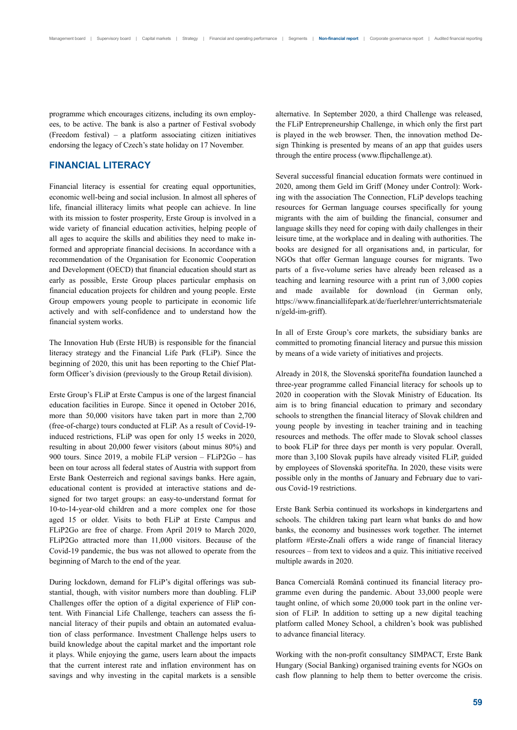programme which encourages citizens, including its own employees, to be active. The bank is also a partner of Festival svobody (Freedom festival) – a platform associating citizen initiatives endorsing the legacy of Czech's state holiday on 17 November.

# **FINANCIAL LITERACY**

Financial literacy is essential for creating equal opportunities, economic well-being and social inclusion. In almost all spheres of life, financial illiteracy limits what people can achieve. In line with its mission to foster prosperity, Erste Group is involved in a wide variety of financial education activities, helping people of all ages to acquire the skills and abilities they need to make informed and appropriate financial decisions. In accordance with a recommendation of the Organisation for Economic Cooperation and Development (OECD) that financial education should start as early as possible, Erste Group places particular emphasis on financial education projects for children and young people. Erste Group empowers young people to participate in economic life actively and with self-confidence and to understand how the financial system works.

The Innovation Hub (Erste HUB) is responsible for the financial literacy strategy and the Financial Life Park (FLiP). Since the beginning of 2020, this unit has been reporting to the Chief Platform Officer's division (previously to the Group Retail division).

Erste Group's FLiP at Erste Campus is one of the largest financial education facilities in Europe. Since it opened in October 2016, more than 50,000 visitors have taken part in more than 2,700 (free-of-charge) tours conducted at FLiP. As a result of Covid-19 induced restrictions, FLiP was open for only 15 weeks in 2020, resulting in about 20,000 fewer visitors (about minus 80%) and 900 tours. Since 2019, a mobile FLiP version – FLiP2Go – has been on tour across all federal states of Austria with support from Erste Bank Oesterreich and regional savings banks. Here again, educational content is provided at interactive stations and designed for two target groups: an easy-to-understand format for 10-to-14-year-old children and a more complex one for those aged 15 or older. Visits to both FLiP at Erste Campus and FLiP2Go are free of charge. From April 2019 to March 2020, FLiP2Go attracted more than 11,000 visitors. Because of the Covid-19 pandemic, the bus was not allowed to operate from the beginning of March to the end of the year.

During lockdown, demand for FLiP's digital offerings was substantial, though, with visitor numbers more than doubling. FLiP Challenges offer the option of a digital experience of FliP content. With Financial Life Challenge, teachers can assess the financial literacy of their pupils and obtain an automated evaluation of class performance. Investment Challenge helps users to build knowledge about the capital market and the important role it plays. While enjoying the game, users learn about the impacts that the current interest rate and inflation environment has on savings and why investing in the capital markets is a sensible alternative. In September 2020, a third Challenge was released, the FLiP Entrepreneurship Challenge, in which only the first part is played in the web browser. Then, the innovation method Design Thinking is presented by means of an app that guides users through the entire process (www.flipchallenge.at).

Several successful financial education formats were continued in 2020, among them Geld im Griff (Money under Control): Working with the association The Connection, FLiP develops teaching resources for German language courses specifically for young migrants with the aim of building the financial, consumer and language skills they need for coping with daily challenges in their leisure time, at the workplace and in dealing with authorities. The books are designed for all organisations and, in particular, for NGOs that offer German language courses for migrants. Two parts of a five-volume series have already been released as a teaching and learning resource with a print run of 3,000 copies and made available for download (in German only, https://www.financiallifepark.at/de/fuerlehrer/unterrichtsmateriale n/geld-im-griff).

In all of Erste Group's core markets, the subsidiary banks are committed to promoting financial literacy and pursue this mission by means of a wide variety of initiatives and projects.

Already in 2018, the Slovenská sporiteľňa foundation launched a three-year programme called Financial literacy for schools up to 2020 in cooperation with the Slovak Ministry of Education. Its aim is to bring financial education to primary and secondary schools to strengthen the financial literacy of Slovak children and young people by investing in teacher training and in teaching resources and methods. The offer made to Slovak school classes to book FLiP for three days per month is very popular. Overall, more than 3,100 Slovak pupils have already visited FLiP, guided by employees of Slovenská sporiteľňa. In 2020, these visits were possible only in the months of January and February due to various Covid-19 restrictions.

Erste Bank Serbia continued its workshops in kindergartens and schools. The children taking part learn what banks do and how banks, the economy and businesses work together. The internet platform #Erste-Znali offers a wide range of financial literacy resources – from text to videos and a quiz. This initiative received multiple awards in 2020.

Banca Comercială Română continued its financial literacy programme even during the pandemic. About 33,000 people were taught online, of which some 20,000 took part in the online version of FLiP. In addition to setting up a new digital teaching platform called Money School, a children's book was published to advance financial literacy.

Working with the non-profit consultancy SIMPACT, Erste Bank Hungary (Social Banking) organised training events for NGOs on cash flow planning to help them to better overcome the crisis.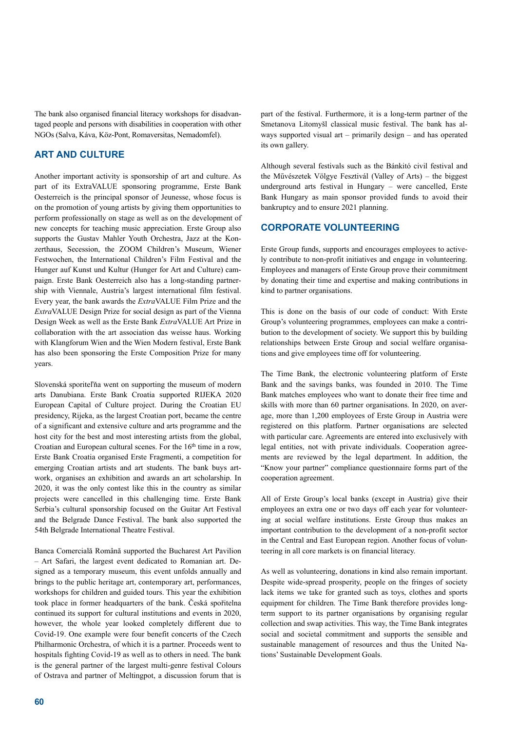The bank also organised financial literacy workshops for disadvantaged people and persons with disabilities in cooperation with other NGOs (Salva, Káva, Köz-Pont, Romaversitas, Nemadomfel).

# **ART AND CULTURE**

Another important activity is sponsorship of art and culture. As part of its ExtraVALUE sponsoring programme, Erste Bank Oesterreich is the principal sponsor of Jeunesse, whose focus is on the promotion of young artists by giving them opportunities to perform professionally on stage as well as on the development of new concepts for teaching music appreciation. Erste Group also supports the Gustav Mahler Youth Orchestra, Jazz at the Konzerthaus, Secession, the ZOOM Children's Museum, Wiener Festwochen, the International Children's Film Festival and the Hunger auf Kunst und Kultur (Hunger for Art and Culture) campaign. Erste Bank Oesterreich also has a long-standing partnership with Viennale, Austria's largest international film festival. Every year, the bank awards the *Extra*VALUE Film Prize and the *Extra*VALUE Design Prize for social design as part of the Vienna Design Week as well as the Erste Bank *Extra*VALUE Art Prize in collaboration with the art association das weisse haus. Working with Klangforum Wien and the Wien Modern festival, Erste Bank has also been sponsoring the Erste Composition Prize for many years.

Slovenská sporiteľňa went on supporting the museum of modern arts Danubiana. Erste Bank Croatia supported RIJEKA 2020 European Capital of Culture project. During the Croatian EU presidency, Rijeka, as the largest Croatian port, became the centre of a significant and extensive culture and arts programme and the host city for the best and most interesting artists from the global, Croatian and European cultural scenes. For the  $16<sup>th</sup>$  time in a row, Erste Bank Croatia organised Erste Fragmenti, a competition for emerging Croatian artists and art students. The bank buys artwork, organises an exhibition and awards an art scholarship. In 2020, it was the only contest like this in the country as similar projects were cancelled in this challenging time. Erste Bank Serbia's cultural sponsorship focused on the Guitar Art Festival and the Belgrade Dance Festival. The bank also supported the 54th Belgrade International Theatre Festival.

Banca Comercială Română supported the Bucharest Art Pavilion – Art Safari, the largest event dedicated to Romanian art. Designed as a temporary museum, this event unfolds annually and brings to the public heritage art, contemporary art, performances, workshops for children and guided tours. This year the exhibition took place in former headquarters of the bank. Česká spořitelna continued its support for cultural institutions and events in 2020, however, the whole year looked completely different due to Covid-19. One example were four benefit concerts of the Czech Philharmonic Orchestra, of which it is a partner. Proceeds went to hospitals fighting Covid-19 as well as to others in need. The bank is the general partner of the largest multi-genre festival Colours of Ostrava and partner of Meltingpot, a discussion forum that is

part of the festival. Furthermore, it is a long-term partner of the Smetanova Litomyšl classical music festival. The bank has always supported visual art – primarily design – and has operated its own gallery.

Although several festivals such as the Bánkitó civil festival and the Művészetek Völgye Fesztivál (Valley of Arts) – the biggest underground arts festival in Hungary – were cancelled, Erste Bank Hungary as main sponsor provided funds to avoid their bankruptcy and to ensure 2021 planning.

# **CORPORATE VOLUNTEERING**

Erste Group funds, supports and encourages employees to actively contribute to non-profit initiatives and engage in volunteering. Employees and managers of Erste Group prove their commitment by donating their time and expertise and making contributions in kind to partner organisations.

This is done on the basis of our code of conduct: With Erste Group's volunteering programmes, employees can make a contribution to the development of society. We support this by building relationships between Erste Group and social welfare organisations and give employees time off for volunteering.

The Time Bank, the electronic volunteering platform of Erste Bank and the savings banks, was founded in 2010. The Time Bank matches employees who want to donate their free time and skills with more than 60 partner organisations. In 2020, on average, more than 1,200 employees of Erste Group in Austria were registered on this platform. Partner organisations are selected with particular care. Agreements are entered into exclusively with legal entities, not with private individuals. Cooperation agreements are reviewed by the legal department. In addition, the "Know your partner" compliance questionnaire forms part of the cooperation agreement.

All of Erste Group's local banks (except in Austria) give their employees an extra one or two days off each year for volunteering at social welfare institutions. Erste Group thus makes an important contribution to the development of a non-profit sector in the Central and East European region. Another focus of volunteering in all core markets is on financial literacy.

As well as volunteering, donations in kind also remain important. Despite wide-spread prosperity, people on the fringes of society lack items we take for granted such as toys, clothes and sports equipment for children. The Time Bank therefore provides longterm support to its partner organisations by organising regular collection and swap activities. This way, the Time Bank integrates social and societal commitment and supports the sensible and sustainable management of resources and thus the United Nations' Sustainable Development Goals.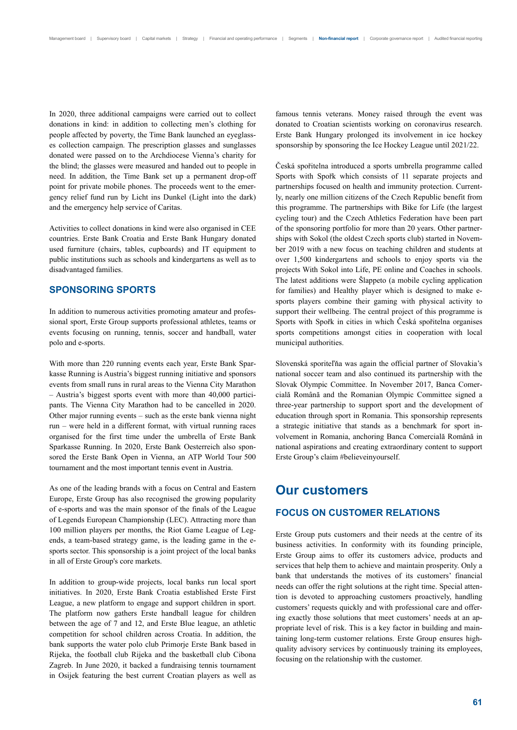In 2020, three additional campaigns were carried out to collect donations in kind: in addition to collecting men's clothing for people affected by poverty, the Time Bank launched an eyeglasses collection campaign. The prescription glasses and sunglasses donated were passed on to the Archdiocese Vienna's charity for the blind; the glasses were measured and handed out to people in need. In addition, the Time Bank set up a permanent drop-off point for private mobile phones. The proceeds went to the emergency relief fund run by Licht ins Dunkel (Light into the dark) and the emergency help service of Caritas.

Activities to collect donations in kind were also organised in CEE countries. Erste Bank Croatia and Erste Bank Hungary donated used furniture (chairs, tables, cupboards) and IT equipment to public institutions such as schools and kindergartens as well as to disadvantaged families.

# **SPONSORING SPORTS**

In addition to numerous activities promoting amateur and professional sport, Erste Group supports professional athletes, teams or events focusing on running, tennis, soccer and handball, water polo and e-sports.

With more than 220 running events each year, Erste Bank Sparkasse Running is Austria's biggest running initiative and sponsors events from small runs in rural areas to the Vienna City Marathon – Austria's biggest sports event with more than 40,000 participants. The Vienna City Marathon had to be cancelled in 2020. Other major running events – such as the erste bank vienna night run – were held in a different format, with virtual running races organised for the first time under the umbrella of Erste Bank Sparkasse Running. In 2020, Erste Bank Oesterreich also sponsored the Erste Bank Open in Vienna, an ATP World Tour 500 tournament and the most important tennis event in Austria.

As one of the leading brands with a focus on Central and Eastern Europe, Erste Group has also recognised the growing popularity of e-sports and was the main sponsor of the finals of the League of Legends European Championship (LEC). Attracting more than 100 million players per months, the Riot Game League of Legends, a team-based strategy game, is the leading game in the esports sector. This sponsorship is a joint project of the local banks in all of Erste Group's core markets.

In addition to group-wide projects, local banks run local sport initiatives. In 2020, Erste Bank Croatia established Erste First League, a new platform to engage and support children in sport. The platform now gathers Erste handball league for children between the age of 7 and 12, and Erste Blue league, an athletic competition for school children across Croatia. In addition, the bank supports the water polo club Primorje Erste Bank based in Rijeka, the football club Rijeka and the basketball club Cibona Zagreb. In June 2020, it backed a fundraising tennis tournament in Osijek featuring the best current Croatian players as well as famous tennis veterans. Money raised through the event was donated to Croatian scientists working on coronavirus research. Erste Bank Hungary prolonged its involvement in ice hockey sponsorship by sponsoring the Ice Hockey League until 2021/22.

Česká spořitelna introduced a sports umbrella programme called Sports with Spořk which consists of 11 separate projects and partnerships focused on health and immunity protection. Currently, nearly one million citizens of the Czech Republic benefit from this programme. The partnerships with Bike for Life (the largest cycling tour) and the Czech Athletics Federation have been part of the sponsoring portfolio for more than 20 years. Other partnerships with Sokol (the oldest Czech sports club) started in November 2019 with a new focus on teaching children and students at over 1,500 kindergartens and schools to enjoy sports via the projects With Sokol into Life, PE online and Coaches in schools. The latest additions were Šlappeto (a mobile cycling application for families) and Healthy player which is designed to make esports players combine their gaming with physical activity to support their wellbeing. The central project of this programme is Sports with Spořk in cities in which Česká spořitelna organises sports competitions amongst cities in cooperation with local municipal authorities.

Slovenská sporiteľňa was again the official partner of Slovakia's national soccer team and also continued its partnership with the Slovak Olympic Committee. In November 2017, Banca Comercială Română and the Romanian Olympic Committee signed a three-year partnership to support sport and the development of education through sport in Romania. This sponsorship represents a strategic initiative that stands as a benchmark for sport involvement in Romania, anchoring Banca Comercială Română in national aspirations and creating extraordinary content to support Erste Group's claim #believeinyourself.

# **Our customers**

## **FOCUS ON CUSTOMER RELATIONS**

Erste Group puts customers and their needs at the centre of its business activities. In conformity with its founding principle, Erste Group aims to offer its customers advice, products and services that help them to achieve and maintain prosperity. Only a bank that understands the motives of its customers' financial needs can offer the right solutions at the right time. Special attention is devoted to approaching customers proactively, handling customers' requests quickly and with professional care and offering exactly those solutions that meet customers' needs at an appropriate level of risk. This is a key factor in building and maintaining long-term customer relations. Erste Group ensures highquality advisory services by continuously training its employees, focusing on the relationship with the customer.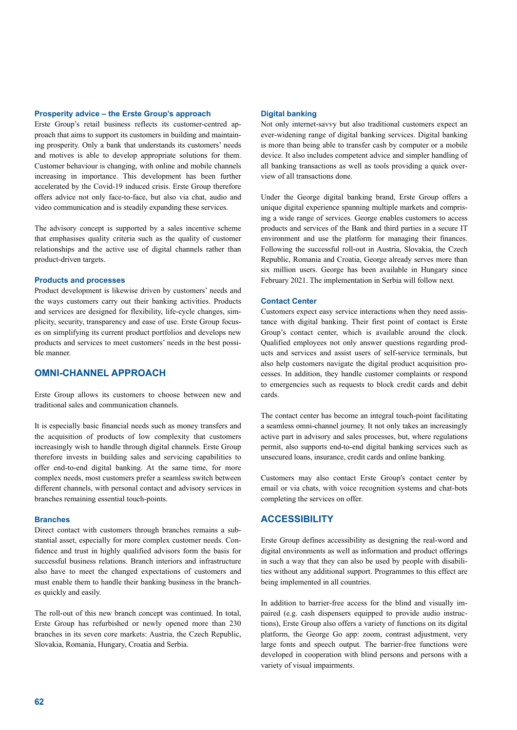#### **Prosperity advice – the Erste Group's approach**

Erste Group's retail business reflects its customer-centred approach that aims to support its customers in building and maintaining prosperity. Only a bank that understands its customers' needs and motives is able to develop appropriate solutions for them. Customer behaviour is changing, with online and mobile channels increasing in importance. This development has been further accelerated by the Covid-19 induced crisis. Erste Group therefore offers advice not only face-to-face, but also via chat, audio and video communication and is steadily expanding these services.

The advisory concept is supported by a sales incentive scheme that emphasises quality criteria such as the quality of customer relationships and the active use of digital channels rather than product-driven targets.

### **Products and processes**

Product development is likewise driven by customers' needs and the ways customers carry out their banking activities. Products and services are designed for flexibility, life-cycle changes, simplicity, security, transparency and ease of use. Erste Group focuses on simplifying its current product portfolios and develops new products and services to meet customers' needs in the best possible manner.

# **OMNI-CHANNEL APPROACH**

Erste Group allows its customers to choose between new and traditional sales and communication channels.

It is especially basic financial needs such as money transfers and the acquisition of products of low complexity that customers increasingly wish to handle through digital channels. Erste Group therefore invests in building sales and servicing capabilities to offer end-to-end digital banking. At the same time, for more complex needs, most customers prefer a seamless switch between different channels, with personal contact and advisory services in branches remaining essential touch-points.

#### **Branches**

Direct contact with customers through branches remains a substantial asset, especially for more complex customer needs. Confidence and trust in highly qualified advisors form the basis for successful business relations. Branch interiors and infrastructure also have to meet the changed expectations of customers and must enable them to handle their banking business in the branches quickly and easily.

The roll-out of this new branch concept was continued. In total, Erste Group has refurbished or newly opened more than 230 branches in its seven core markets: Austria, the Czech Republic, Slovakia, Romania, Hungary, Croatia and Serbia.

#### **Digital banking**

Not only internet-savvy but also traditional customers expect an ever-widening range of digital banking services. Digital banking is more than being able to transfer cash by computer or a mobile device. It also includes competent advice and simpler handling of all banking transactions as well as tools providing a quick overview of all transactions done.

Under the George digital banking brand, Erste Group offers a unique digital experience spanning multiple markets and comprising a wide range of services. George enables customers to access products and services of the Bank and third parties in a secure IT environment and use the platform for managing their finances. Following the successful roll-out in Austria, Slovakia, the Czech Republic, Romania and Croatia, George already serves more than six million users. George has been available in Hungary since February 2021. The implementation in Serbia will follow next.

#### **Contact Center**

Customers expect easy service interactions when they need assistance with digital banking. Their first point of contact is Erste Group's contact center, which is available around the clock. Qualified employees not only answer questions regarding products and services and assist users of self-service terminals, but also help customers navigate the digital product acquisition processes. In addition, they handle customer complaints or respond to emergencies such as requests to block credit cards and debit cards.

The contact center has become an integral touch-point facilitating a seamless omni-channel journey. It not only takes an increasingly active part in advisory and sales processes, but, where regulations permit, also supports end-to-end digital banking services such as unsecured loans, insurance, credit cards and online banking.

Customers may also contact Erste Group's contact center by email or via chats, with voice recognition systems and chat-bots completing the services on offer.

# **ACCESSIBILITY**

Erste Group defines accessibility as designing the real-word and digital environments as well as information and product offerings in such a way that they can also be used by people with disabilities without any additional support. Programmes to this effect are being implemented in all countries.

In addition to barrier-free access for the blind and visually impaired (e.g. cash dispensers equipped to provide audio instructions), Erste Group also offers a variety of functions on its digital platform, the George Go app: zoom, contrast adjustment, very large fonts and speech output. The barrier-free functions were developed in cooperation with blind persons and persons with a variety of visual impairments.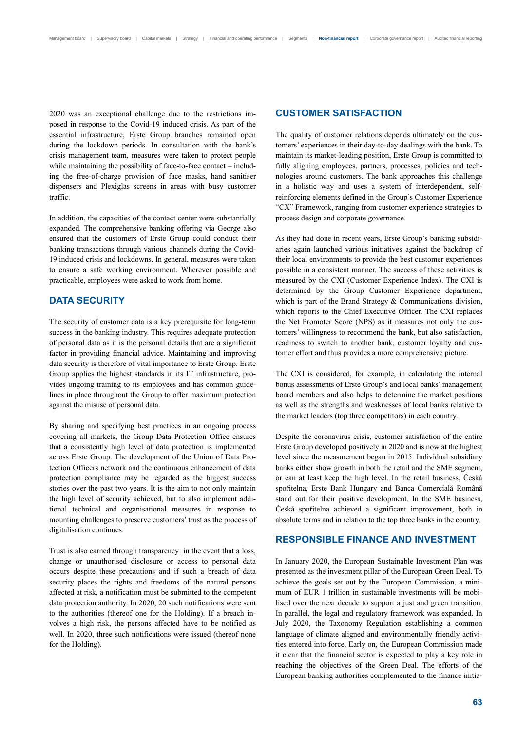2020 was an exceptional challenge due to the restrictions imposed in response to the Covid-19 induced crisis. As part of the essential infrastructure, Erste Group branches remained open during the lockdown periods. In consultation with the bank's crisis management team, measures were taken to protect people while maintaining the possibility of face-to-face contact – including the free-of-charge provision of face masks, hand sanitiser dispensers and Plexiglas screens in areas with busy customer traffic.

In addition, the capacities of the contact center were substantially expanded. The comprehensive banking offering via George also ensured that the customers of Erste Group could conduct their banking transactions through various channels during the Covid-19 induced crisis and lockdowns. In general, measures were taken to ensure a safe working environment. Wherever possible and practicable, employees were asked to work from home.

# **DATA SECURITY**

The security of customer data is a key prerequisite for long-term success in the banking industry. This requires adequate protection of personal data as it is the personal details that are a significant factor in providing financial advice. Maintaining and improving data security is therefore of vital importance to Erste Group. Erste Group applies the highest standards in its IT infrastructure, provides ongoing training to its employees and has common guidelines in place throughout the Group to offer maximum protection against the misuse of personal data.

By sharing and specifying best practices in an ongoing process covering all markets, the Group Data Protection Office ensures that a consistently high level of data protection is implemented across Erste Group. The development of the Union of Data Protection Officers network and the continuous enhancement of data protection compliance may be regarded as the biggest success stories over the past two years. It is the aim to not only maintain the high level of security achieved, but to also implement additional technical and organisational measures in response to mounting challenges to preserve customers' trust as the process of digitalisation continues.

Trust is also earned through transparency: in the event that a loss, change or unauthorised disclosure or access to personal data occurs despite these precautions and if such a breach of data security places the rights and freedoms of the natural persons affected at risk, a notification must be submitted to the competent data protection authority. In 2020, 20 such notifications were sent to the authorities (thereof one for the Holding). If a breach involves a high risk, the persons affected have to be notified as well. In 2020, three such notifications were issued (thereof none for the Holding).

# **CUSTOMER SATISFACTION**

The quality of customer relations depends ultimately on the customers' experiences in their day-to-day dealings with the bank. To maintain its market-leading position, Erste Group is committed to fully aligning employees, partners, processes, policies and technologies around customers. The bank approaches this challenge in a holistic way and uses a system of interdependent, selfreinforcing elements defined in the Group's Customer Experience "CX" Framework, ranging from customer experience strategies to process design and corporate governance.

As they had done in recent years, Erste Group's banking subsidiaries again launched various initiatives against the backdrop of their local environments to provide the best customer experiences possible in a consistent manner. The success of these activities is measured by the CXI (Customer Experience Index). The CXI is determined by the Group Customer Experience department, which is part of the Brand Strategy & Communications division, which reports to the Chief Executive Officer. The CXI replaces the Net Promoter Score (NPS) as it measures not only the customers' willingness to recommend the bank, but also satisfaction, readiness to switch to another bank, customer loyalty and customer effort and thus provides a more comprehensive picture.

The CXI is considered, for example, in calculating the internal bonus assessments of Erste Group's and local banks' management board members and also helps to determine the market positions as well as the strengths and weaknesses of local banks relative to the market leaders (top three competitors) in each country.

Despite the coronavirus crisis, customer satisfaction of the entire Erste Group developed positively in 2020 and is now at the highest level since the measurement began in 2015. Individual subsidiary banks either show growth in both the retail and the SME segment, or can at least keep the high level. In the retail business, Česká spořitelna, Erste Bank Hungary and Banca Comercială Română stand out for their positive development. In the SME business, Česká spořitelna achieved a significant improvement, both in absolute terms and in relation to the top three banks in the country.

### **RESPONSIBLE FINANCE AND INVESTMENT**

In January 2020, the European Sustainable Investment Plan was presented as the investment pillar of the European Green Deal. To achieve the goals set out by the European Commission, a minimum of EUR 1 trillion in sustainable investments will be mobilised over the next decade to support a just and green transition. In parallel, the legal and regulatory framework was expanded. In July 2020, the Taxonomy Regulation establishing a common language of climate aligned and environmentally friendly activities entered into force. Early on, the European Commission made it clear that the financial sector is expected to play a key role in reaching the objectives of the Green Deal. The efforts of the European banking authorities complemented to the finance initia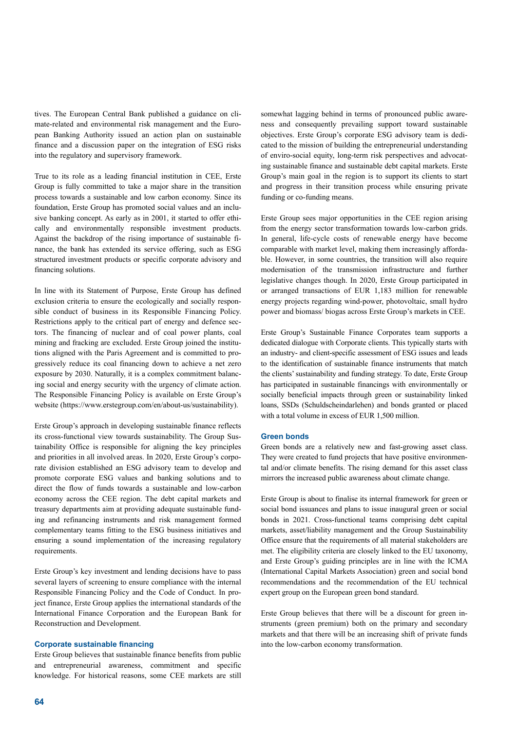tives. The European Central Bank published a guidance on climate-related and environmental risk management and the European Banking Authority issued an action plan on sustainable finance and a discussion paper on the integration of ESG risks into the regulatory and supervisory framework.

True to its role as a leading financial institution in CEE, Erste Group is fully committed to take a major share in the transition process towards a sustainable and low carbon economy. Since its foundation, Erste Group has promoted social values and an inclusive banking concept. As early as in 2001, it started to offer ethically and environmentally responsible investment products. Against the backdrop of the rising importance of sustainable finance, the bank has extended its service offering, such as ESG structured investment products or specific corporate advisory and financing solutions.

In line with its Statement of Purpose, Erste Group has defined exclusion criteria to ensure the ecologically and socially responsible conduct of business in its Responsible Financing Policy. Restrictions apply to the critical part of energy and defence sectors. The financing of nuclear and of coal power plants, coal mining and fracking are excluded. Erste Group joined the institutions aligned with the Paris Agreement and is committed to progressively reduce its coal financing down to achieve a net zero exposure by 2030. Naturally, it is a complex commitment balancing social and energy security with the urgency of climate action. The Responsible Financing Policy is available on Erste Group's website (https://www.erstegroup.com/en/about-us/sustainability).

Erste Group's approach in developing sustainable finance reflects its cross-functional view towards sustainability. The Group Sustainability Office is responsible for aligning the key principles and priorities in all involved areas. In 2020, Erste Group's corporate division established an ESG advisory team to develop and promote corporate ESG values and banking solutions and to direct the flow of funds towards a sustainable and low-carbon economy across the CEE region. The debt capital markets and treasury departments aim at providing adequate sustainable funding and refinancing instruments and risk management formed complementary teams fitting to the ESG business initiatives and ensuring a sound implementation of the increasing regulatory requirements.

Erste Group's key investment and lending decisions have to pass several layers of screening to ensure compliance with the internal Responsible Financing Policy and the Code of Conduct. In project finance, Erste Group applies the international standards of the International Finance Corporation and the European Bank for Reconstruction and Development.

#### **Corporate sustainable financing**

Erste Group believes that sustainable finance benefits from public and entrepreneurial awareness, commitment and specific knowledge. For historical reasons, some CEE markets are still

somewhat lagging behind in terms of pronounced public awareness and consequently prevailing support toward sustainable objectives. Erste Group's corporate ESG advisory team is dedicated to the mission of building the entrepreneurial understanding of enviro-social equity, long-term risk perspectives and advocating sustainable finance and sustainable debt capital markets. Erste Group's main goal in the region is to support its clients to start and progress in their transition process while ensuring private funding or co-funding means.

Erste Group sees major opportunities in the CEE region arising from the energy sector transformation towards low-carbon grids. In general, life-cycle costs of renewable energy have become comparable with market level, making them increasingly affordable. However, in some countries, the transition will also require modernisation of the transmission infrastructure and further legislative changes though. In 2020, Erste Group participated in or arranged transactions of EUR 1,183 million for renewable energy projects regarding wind-power, photovoltaic, small hydro power and biomass/ biogas across Erste Group's markets in CEE.

Erste Group's Sustainable Finance Corporates team supports a dedicated dialogue with Corporate clients. This typically starts with an industry- and client-specific assessment of ESG issues and leads to the identification of sustainable finance instruments that match the clients' sustainability and funding strategy. To date, Erste Group has participated in sustainable financings with environmentally or socially beneficial impacts through green or sustainability linked loans, SSDs (Schuldscheindarlehen) and bonds granted or placed with a total volume in excess of EUR 1,500 million.

#### **Green bonds**

Green bonds are a relatively new and fast-growing asset class. They were created to fund projects that have positive environmental and/or climate benefits. The rising demand for this asset class mirrors the increased public awareness about climate change.

Erste Group is about to finalise its internal framework for green or social bond issuances and plans to issue inaugural green or social bonds in 2021. Cross-functional teams comprising debt capital markets, asset/liability management and the Group Sustainability Office ensure that the requirements of all material stakeholders are met. The eligibility criteria are closely linked to the EU taxonomy, and Erste Group's guiding principles are in line with the ICMA (International Capital Markets Association) green and social bond recommendations and the recommendation of the EU technical expert group on the European green bond standard.

Erste Group believes that there will be a discount for green instruments (green premium) both on the primary and secondary markets and that there will be an increasing shift of private funds into the low-carbon economy transformation.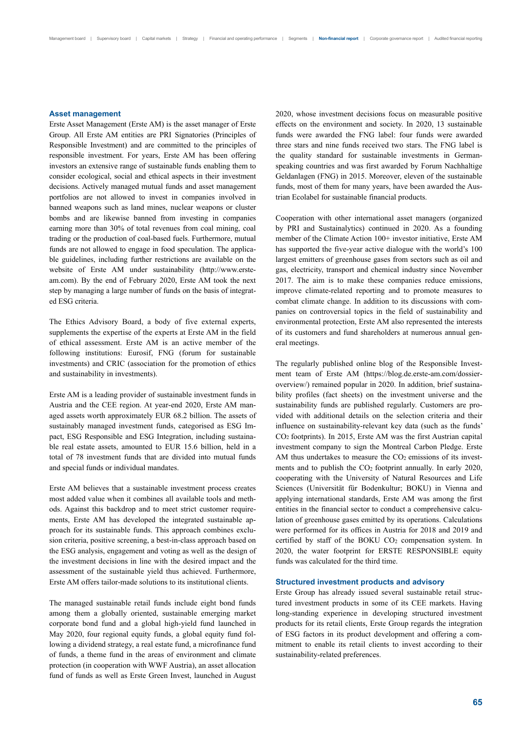#### **Asset management**

Erste Asset Management (Erste AM) is the asset manager of Erste Group. All Erste AM entities are PRI Signatories (Principles of Responsible Investment) and are committed to the principles of responsible investment. For years, Erste AM has been offering investors an extensive range of sustainable funds enabling them to consider ecological, social and ethical aspects in their investment decisions. Actively managed mutual funds and asset management portfolios are not allowed to invest in companies involved in banned weapons such as land mines, nuclear weapons or cluster bombs and are likewise banned from investing in companies earning more than 30% of total revenues from coal mining, coal trading or the production of coal-based fuels. Furthermore, mutual funds are not allowed to engage in food speculation. The applicable guidelines, including further restrictions are available on the website of Erste AM under sustainability (http://www.ersteam.com). By the end of February 2020, Erste AM took the next step by managing a large number of funds on the basis of integrated ESG criteria.

The Ethics Advisory Board, a body of five external experts, supplements the expertise of the experts at Erste AM in the field of ethical assessment. Erste AM is an active member of the following institutions: Eurosif, FNG (forum for sustainable investments) and CRIC (association for the promotion of ethics and sustainability in investments).

Erste AM is a leading provider of sustainable investment funds in Austria and the CEE region. At year-end 2020, Erste AM managed assets worth approximately EUR 68.2 billion. The assets of sustainably managed investment funds, categorised as ESG Impact, ESG Responsible and ESG Integration, including sustainable real estate assets, amounted to EUR 15.6 billion, held in a total of 78 investment funds that are divided into mutual funds and special funds or individual mandates.

Erste AM believes that a sustainable investment process creates most added value when it combines all available tools and methods. Against this backdrop and to meet strict customer requirements, Erste AM has developed the integrated sustainable approach for its sustainable funds. This approach combines exclusion criteria, positive screening, a best-in-class approach based on the ESG analysis, engagement and voting as well as the design of the investment decisions in line with the desired impact and the assessment of the sustainable yield thus achieved. Furthermore, Erste AM offers tailor-made solutions to its institutional clients.

The managed sustainable retail funds include eight bond funds among them a globally oriented, sustainable emerging market corporate bond fund and a global high-yield fund launched in May 2020, four regional equity funds, a global equity fund following a dividend strategy, a real estate fund, a microfinance fund of funds, a theme fund in the areas of environment and climate protection (in cooperation with WWF Austria), an asset allocation fund of funds as well as Erste Green Invest, launched in August 2020, whose investment decisions focus on measurable positive effects on the environment and society. In 2020, 13 sustainable funds were awarded the FNG label: four funds were awarded three stars and nine funds received two stars. The FNG label is the quality standard for sustainable investments in Germanspeaking countries and was first awarded by Forum Nachhaltige Geldanlagen (FNG) in 2015. Moreover, eleven of the sustainable funds, most of them for many years, have been awarded the Austrian Ecolabel for sustainable financial products.

Cooperation with other international asset managers (organized by PRI and Sustainalytics) continued in 2020. As a founding member of the Climate Action 100+ investor initiative, Erste AM has supported the five-year active dialogue with the world's 100 largest emitters of greenhouse gases from sectors such as oil and gas, electricity, transport and chemical industry since November 2017. The aim is to make these companies reduce emissions, improve climate-related reporting and to promote measures to combat climate change. In addition to its discussions with companies on controversial topics in the field of sustainability and environmental protection, Erste AM also represented the interests of its customers and fund shareholders at numerous annual general meetings.

The regularly published online blog of the Responsible Investment team of Erste AM (https://blog.de.erste-am.com/dossieroverview/) remained popular in 2020. In addition, brief sustainability profiles (fact sheets) on the investment universe and the sustainability funds are published regularly. Customers are provided with additional details on the selection criteria and their influence on sustainability-relevant key data (such as the funds' CO2 footprints). In 2015, Erste AM was the first Austrian capital investment company to sign the Montreal Carbon Pledge. Erste AM thus undertakes to measure the  $CO<sub>2</sub>$  emissions of its investments and to publish the CO<sub>2</sub> footprint annually. In early 2020, cooperating with the University of Natural Resources and Life Sciences (Universität für Bodenkultur; BOKU) in Vienna and applying international standards, Erste AM was among the first entities in the financial sector to conduct a comprehensive calculation of greenhouse gases emitted by its operations. Calculations were performed for its offices in Austria for 2018 and 2019 and certified by staff of the BOKU CO<sub>2</sub> compensation system. In 2020, the water footprint for ERSTE RESPONSIBLE equity funds was calculated for the third time.

#### **Structured investment products and advisory**

Erste Group has already issued several sustainable retail structured investment products in some of its CEE markets. Having long-standing experience in developing structured investment products for its retail clients, Erste Group regards the integration of ESG factors in its product development and offering a commitment to enable its retail clients to invest according to their sustainability-related preferences.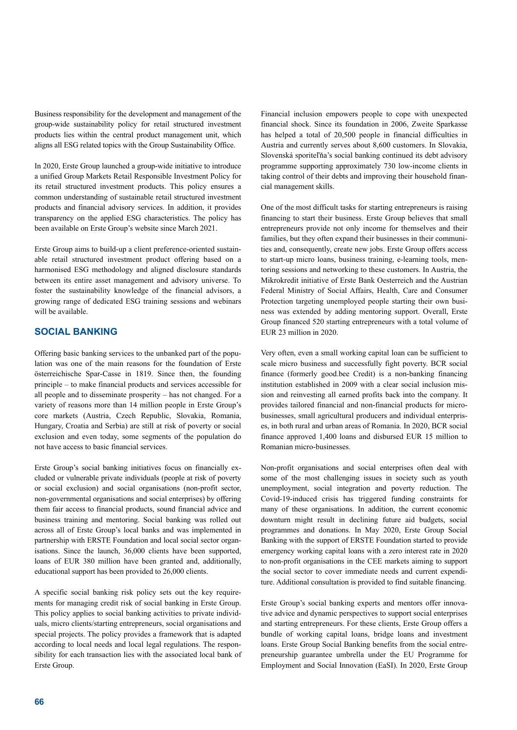Business responsibility for the development and management of the group-wide sustainability policy for retail structured investment products lies within the central product management unit, which aligns all ESG related topics with the Group Sustainability Office.

In 2020, Erste Group launched a group-wide initiative to introduce a unified Group Markets Retail Responsible Investment Policy for its retail structured investment products. This policy ensures a common understanding of sustainable retail structured investment products and financial advisory services. In addition, it provides transparency on the applied ESG characteristics. The policy has been available on Erste Group's website since March 2021.

Erste Group aims to build-up a client preference-oriented sustainable retail structured investment product offering based on a harmonised ESG methodology and aligned disclosure standards between its entire asset management and advisory universe. To foster the sustainability knowledge of the financial advisors, a growing range of dedicated ESG training sessions and webinars will be available.

# **SOCIAL BANKING**

Offering basic banking services to the unbanked part of the population was one of the main reasons for the foundation of Erste österreichische Spar-Casse in 1819. Since then, the founding principle – to make financial products and services accessible for all people and to disseminate prosperity – has not changed. For a variety of reasons more than 14 million people in Erste Group's core markets (Austria, Czech Republic, Slovakia, Romania, Hungary, Croatia and Serbia) are still at risk of poverty or social exclusion and even today, some segments of the population do not have access to basic financial services.

Erste Group's social banking initiatives focus on financially excluded or vulnerable private individuals (people at risk of poverty or social exclusion) and social organisations (non-profit sector, non-governmental organisations and social enterprises) by offering them fair access to financial products, sound financial advice and business training and mentoring. Social banking was rolled out across all of Erste Group's local banks and was implemented in partnership with ERSTE Foundation and local social sector organisations. Since the launch, 36,000 clients have been supported, loans of EUR 380 million have been granted and, additionally, educational support has been provided to 26,000 clients.

A specific social banking risk policy sets out the key requirements for managing credit risk of social banking in Erste Group. This policy applies to social banking activities to private individuals, micro clients/starting entrepreneurs, social organisations and special projects. The policy provides a framework that is adapted according to local needs and local legal regulations. The responsibility for each transaction lies with the associated local bank of Erste Group.

Financial inclusion empowers people to cope with unexpected financial shock. Since its foundation in 2006, Zweite Sparkasse has helped a total of 20,500 people in financial difficulties in Austria and currently serves about 8,600 customers. In Slovakia, Slovenská sporiteľňa's social banking continued its debt advisory programme supporting approximately 730 low-income clients in taking control of their debts and improving their household financial management skills.

One of the most difficult tasks for starting entrepreneurs is raising financing to start their business. Erste Group believes that small entrepreneurs provide not only income for themselves and their families, but they often expand their businesses in their communities and, consequently, create new jobs. Erste Group offers access to start-up micro loans, business training, e-learning tools, mentoring sessions and networking to these customers. In Austria, the Mikrokredit initiative of Erste Bank Oesterreich and the Austrian Federal Ministry of Social Affairs, Health, Care and Consumer Protection targeting unemployed people starting their own business was extended by adding mentoring support. Overall, Erste Group financed 520 starting entrepreneurs with a total volume of EUR 23 million in 2020.

Very often, even a small working capital loan can be sufficient to scale micro business and successfully fight poverty. BCR social finance (formerly good.bee Credit) is a non-banking financing institution established in 2009 with a clear social inclusion mission and reinvesting all earned profits back into the company. It provides tailored financial and non-financial products for microbusinesses, small agricultural producers and individual enterprises, in both rural and urban areas of Romania. In 2020, BCR social finance approved 1,400 loans and disbursed EUR 15 million to Romanian micro-businesses.

Non-profit organisations and social enterprises often deal with some of the most challenging issues in society such as youth unemployment, social integration and poverty reduction. The Covid-19-induced crisis has triggered funding constraints for many of these organisations. In addition, the current economic downturn might result in declining future aid budgets, social programmes and donations. In May 2020, Erste Group Social Banking with the support of ERSTE Foundation started to provide emergency working capital loans with a zero interest rate in 2020 to non-profit organisations in the CEE markets aiming to support the social sector to cover immediate needs and current expenditure. Additional consultation is provided to find suitable financing.

Erste Group's social banking experts and mentors offer innovative advice and dynamic perspectives to support social enterprises and starting entrepreneurs. For these clients, Erste Group offers a bundle of working capital loans, bridge loans and investment loans. Erste Group Social Banking benefits from the social entrepreneurship guarantee umbrella under the EU Programme for Employment and Social Innovation (EaSI). In 2020, Erste Group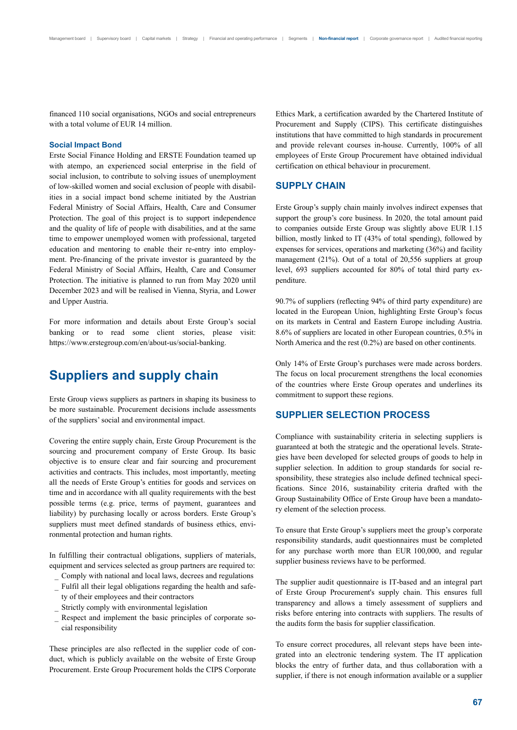financed 110 social organisations, NGOs and social entrepreneurs with a total volume of EUR 14 million.

#### **Social Impact Bond**

Erste Social Finance Holding and ERSTE Foundation teamed up with atempo, an experienced social enterprise in the field of social inclusion, to contribute to solving issues of unemployment of low-skilled women and social exclusion of people with disabilities in a social impact bond scheme initiated by the Austrian Federal Ministry of Social Affairs, Health, Care and Consumer Protection. The goal of this project is to support independence and the quality of life of people with disabilities, and at the same time to empower unemployed women with professional, targeted education and mentoring to enable their re-entry into employment. Pre-financing of the private investor is guaranteed by the Federal Ministry of Social Affairs, Health, Care and Consumer Protection. The initiative is planned to run from May 2020 until December 2023 and will be realised in Vienna, Styria, and Lower and Upper Austria.

For more information and details about Erste Group's social banking or to read some client stories, please visit: https://www.erstegroup.com/en/about-us/social-banking.

# **Suppliers and supply chain**

Erste Group views suppliers as partners in shaping its business to be more sustainable. Procurement decisions include assessments of the suppliers' social and environmental impact.

Covering the entire supply chain, Erste Group Procurement is the sourcing and procurement company of Erste Group. Its basic objective is to ensure clear and fair sourcing and procurement activities and contracts. This includes, most importantly, meeting all the needs of Erste Group's entities for goods and services on time and in accordance with all quality requirements with the best possible terms (e.g. price, terms of payment, guarantees and liability) by purchasing locally or across borders. Erste Group's suppliers must meet defined standards of business ethics, environmental protection and human rights.

In fulfilling their contractual obligations, suppliers of materials, equipment and services selected as group partners are required to:

- Comply with national and local laws, decrees and regulations
- Fulfil all their legal obligations regarding the health and safety of their employees and their contractors
- Strictly comply with environmental legislation
- Respect and implement the basic principles of corporate social responsibility

These principles are also reflected in the supplier code of conduct, which is publicly available on the website of Erste Group Procurement. Erste Group Procurement holds the CIPS Corporate Ethics Mark, a certification awarded by the Chartered Institute of Procurement and Supply (CIPS). This certificate distinguishes institutions that have committed to high standards in procurement and provide relevant courses in-house. Currently, 100% of all employees of Erste Group Procurement have obtained individual certification on ethical behaviour in procurement.

# **SUPPLY CHAIN**

Erste Group's supply chain mainly involves indirect expenses that support the group's core business. In 2020, the total amount paid to companies outside Erste Group was slightly above EUR 1.15 billion, mostly linked to IT (43% of total spending), followed by expenses for services, operations and marketing (36%) and facility management (21%). Out of a total of 20,556 suppliers at group level, 693 suppliers accounted for 80% of total third party expenditure.

90.7% of suppliers (reflecting 94% of third party expenditure) are located in the European Union, highlighting Erste Group's focus on its markets in Central and Eastern Europe including Austria. 8.6% of suppliers are located in other European countries, 0.5% in North America and the rest (0.2%) are based on other continents.

Only 14% of Erste Group's purchases were made across borders. The focus on local procurement strengthens the local economies of the countries where Erste Group operates and underlines its commitment to support these regions.

# **SUPPLIER SELECTION PROCESS**

Compliance with sustainability criteria in selecting suppliers is guaranteed at both the strategic and the operational levels. Strategies have been developed for selected groups of goods to help in supplier selection. In addition to group standards for social responsibility, these strategies also include defined technical specifications. Since 2016, sustainability criteria drafted with the Group Sustainability Office of Erste Group have been a mandatory element of the selection process.

To ensure that Erste Group's suppliers meet the group's corporate responsibility standards, audit questionnaires must be completed for any purchase worth more than EUR 100,000, and regular supplier business reviews have to be performed.

The supplier audit questionnaire is IT-based and an integral part of Erste Group Procurement's supply chain. This ensures full transparency and allows a timely assessment of suppliers and risks before entering into contracts with suppliers. The results of the audits form the basis for supplier classification.

To ensure correct procedures, all relevant steps have been integrated into an electronic tendering system. The IT application blocks the entry of further data, and thus collaboration with a supplier, if there is not enough information available or a supplier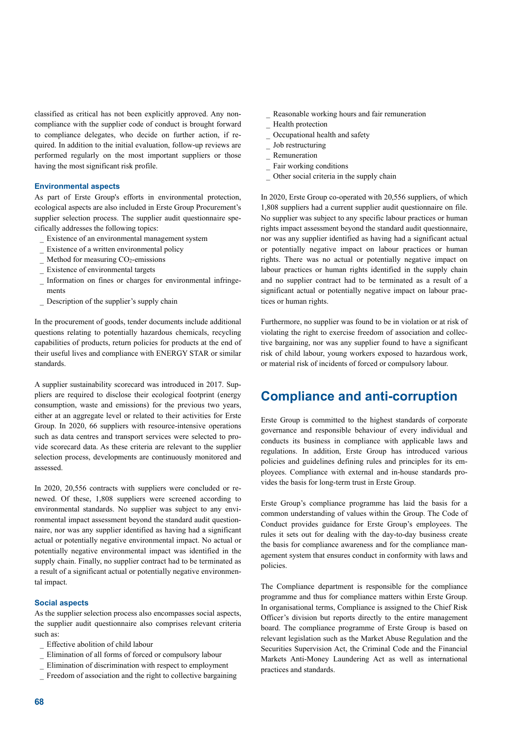classified as critical has not been explicitly approved. Any noncompliance with the supplier code of conduct is brought forward to compliance delegates, who decide on further action, if required. In addition to the initial evaluation, follow-up reviews are performed regularly on the most important suppliers or those having the most significant risk profile.

#### **Environmental aspects**

As part of Erste Group's efforts in environmental protection, ecological aspects are also included in Erste Group Procurement's supplier selection process. The supplier audit questionnaire specifically addresses the following topics:

- Existence of an environmental management system
- Existence of a written environmental policy
- Method for measuring  $CO<sub>2</sub>$ -emissions
- Existence of environmental targets
- Information on fines or charges for environmental infringements
- Description of the supplier's supply chain

In the procurement of goods, tender documents include additional questions relating to potentially hazardous chemicals, recycling capabilities of products, return policies for products at the end of their useful lives and compliance with ENERGY STAR or similar standards.

A supplier sustainability scorecard was introduced in 2017. Suppliers are required to disclose their ecological footprint (energy consumption, waste and emissions) for the previous two years, either at an aggregate level or related to their activities for Erste Group. In 2020, 66 suppliers with resource-intensive operations such as data centres and transport services were selected to provide scorecard data. As these criteria are relevant to the supplier selection process, developments are continuously monitored and assessed.

In 2020, 20,556 contracts with suppliers were concluded or renewed. Of these, 1,808 suppliers were screened according to environmental standards. No supplier was subject to any environmental impact assessment beyond the standard audit questionnaire, nor was any supplier identified as having had a significant actual or potentially negative environmental impact. No actual or potentially negative environmental impact was identified in the supply chain. Finally, no supplier contract had to be terminated as a result of a significant actual or potentially negative environmental impact.

#### **Social aspects**

As the supplier selection process also encompasses social aspects, the supplier audit questionnaire also comprises relevant criteria such as:

- Effective abolition of child labour
- Elimination of all forms of forced or compulsory labour
- Elimination of discrimination with respect to employment
- Freedom of association and the right to collective bargaining
- Reasonable working hours and fair remuneration
- Health protection
- Occupational health and safety
- Job restructuring
- Remuneration
- Fair working conditions
- Other social criteria in the supply chain

In 2020, Erste Group co-operated with 20,556 suppliers, of which 1,808 suppliers had a current supplier audit questionnaire on file. No supplier was subject to any specific labour practices or human rights impact assessment beyond the standard audit questionnaire, nor was any supplier identified as having had a significant actual or potentially negative impact on labour practices or human rights. There was no actual or potentially negative impact on labour practices or human rights identified in the supply chain and no supplier contract had to be terminated as a result of a significant actual or potentially negative impact on labour practices or human rights.

Furthermore, no supplier was found to be in violation or at risk of violating the right to exercise freedom of association and collective bargaining, nor was any supplier found to have a significant risk of child labour, young workers exposed to hazardous work, or material risk of incidents of forced or compulsory labour.

# **Compliance and anti-corruption**

Erste Group is committed to the highest standards of corporate governance and responsible behaviour of every individual and conducts its business in compliance with applicable laws and regulations. In addition, Erste Group has introduced various policies and guidelines defining rules and principles for its employees. Compliance with external and in-house standards provides the basis for long-term trust in Erste Group.

Erste Group's compliance programme has laid the basis for a common understanding of values within the Group. The Code of Conduct provides guidance for Erste Group's employees. The rules it sets out for dealing with the day-to-day business create the basis for compliance awareness and for the compliance management system that ensures conduct in conformity with laws and policies.

The Compliance department is responsible for the compliance programme and thus for compliance matters within Erste Group. In organisational terms, Compliance is assigned to the Chief Risk Officer's division but reports directly to the entire management board. The compliance programme of Erste Group is based on relevant legislation such as the Market Abuse Regulation and the Securities Supervision Act, the Criminal Code and the Financial Markets Anti-Money Laundering Act as well as international practices and standards.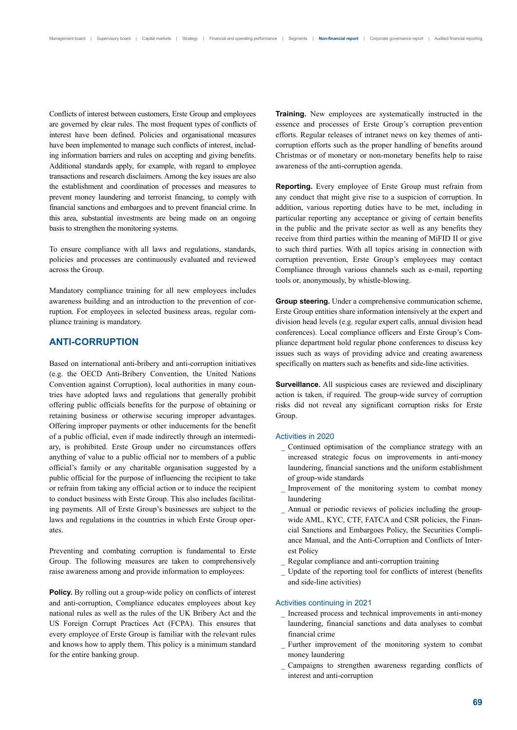Conflicts of interest between customers, Erste Group and employees are governed by clear rules. The most frequent types of conflicts of interest have been defined. Policies and organisational measures have been implemented to manage such conflicts of interest, including information barriers and rules on accepting and giving benefits. Additional standards apply, for example, with regard to employee transactions and research disclaimers. Among the key issues are also the establishment and coordination of processes and measures to prevent money laundering and terrorist financing, to comply with financial sanctions and embargoes and to prevent financial crime. In this area, substantial investments are being made on an ongoing basis to strengthen the monitoring systems.

To ensure compliance with all laws and regulations, standards, policies and processes are continuously evaluated and reviewed across the Group.

Mandatory compliance training for all new employees includes awareness building and an introduction to the prevention of corruption. For employees in selected business areas, regular compliance training is mandatory.

# **ANTI-CORRUPTION**

Based on international anti-bribery and anti-corruption initiatives (e.g. the OECD Anti-Bribery Convention, the United Nations Convention against Corruption), local authorities in many countries have adopted laws and regulations that generally prohibit offering public officials benefits for the purpose of obtaining or retaining business or otherwise securing improper advantages. Offering improper payments or other inducements for the benefit of a public official, even if made indirectly through an intermediary, is prohibited. Erste Group under no circumstances offers anything of value to a public official nor to members of a public official's family or any charitable organisation suggested by a public official for the purpose of influencing the recipient to take or refrain from taking any official action or to induce the recipient to conduct business with Erste Group. This also includes facilitating payments. All of Erste Group's businesses are subject to the laws and regulations in the countries in which Erste Group operates.

Preventing and combating corruption is fundamental to Erste Group. The following measures are taken to comprehensively raise awareness among and provide information to employees:

Policy. By rolling out a group-wide policy on conflicts of interest and anti-corruption, Compliance educates employees about key national rules as well as the rules of the UK Bribery Act and the US Foreign Corrupt Practices Act (FCPA). This ensures that every employee of Erste Group is familiar with the relevant rules and knows how to apply them. This policy is a minimum standard for the entire banking group.

**Training.** New employees are systematically instructed in the essence and processes of Erste Group's corruption prevention efforts. Regular releases of intranet news on key themes of anticorruption efforts such as the proper handling of benefits around Christmas or of monetary or non-monetary benefits help to raise awareness of the anti-corruption agenda.

**Reporting.** Every employee of Erste Group must refrain from any conduct that might give rise to a suspicion of corruption. In addition, various reporting duties have to be met, including in particular reporting any acceptance or giving of certain benefits in the public and the private sector as well as any benefits they receive from third parties within the meaning of MiFID II or give to such third parties. With all topics arising in connection with corruption prevention, Erste Group's employees may contact Compliance through various channels such as e-mail, reporting tools or, anonymously, by whistle-blowing.

**Group steering.** Under a comprehensive communication scheme, Erste Group entities share information intensively at the expert and division head levels (e.g. regular expert calls, annual division head conferences). Local compliance officers and Erste Group's Compliance department hold regular phone conferences to discuss key issues such as ways of providing advice and creating awareness specifically on matters such as benefits and side-line activities.

**Surveillance.** All suspicious cases are reviewed and disciplinary action is taken, if required. The group-wide survey of corruption risks did not reveal any significant corruption risks for Erste Group.

#### Activities in 2020

- Continued optimisation of the compliance strategy with an increased strategic focus on improvements in anti-money laundering, financial sanctions and the uniform establishment of group-wide standards
- Improvement of the monitoring system to combat money laundering
- Annual or periodic reviews of policies including the groupwide AML, KYC, CTF, FATCA and CSR policies, the Financial Sanctions and Embargoes Policy, the Securities Compliance Manual, and the Anti-Corruption and Conflicts of Interest Policy
- Regular compliance and anti-corruption training
- Update of the reporting tool for conflicts of interest (benefits and side-line activities)

#### Activities continuing in 2021

- Increased process and technical improvements in anti-money laundering, financial sanctions and data analyses to combat financial crime
- Further improvement of the monitoring system to combat money laundering
- Campaigns to strengthen awareness regarding conflicts of interest and anti-corruption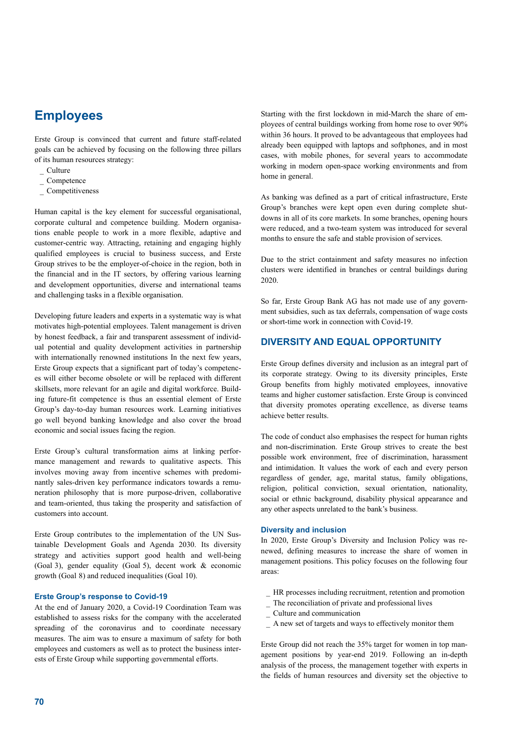# **Employees**

Erste Group is convinced that current and future staff-related goals can be achieved by focusing on the following three pillars of its human resources strategy:

- <sub> $-$ </sub> Culture
- $\overline{\phantom{a}}$  Competence
- Competitiveness

Human capital is the key element for successful organisational, corporate cultural and competence building. Modern organisations enable people to work in a more flexible, adaptive and customer-centric way. Attracting, retaining and engaging highly qualified employees is crucial to business success, and Erste Group strives to be the employer-of-choice in the region, both in the financial and in the IT sectors, by offering various learning and development opportunities, diverse and international teams and challenging tasks in a flexible organisation.

Developing future leaders and experts in a systematic way is what motivates high-potential employees. Talent management is driven by honest feedback, a fair and transparent assessment of individual potential and quality development activities in partnership with internationally renowned institutions In the next few years, Erste Group expects that a significant part of today's competences will either become obsolete or will be replaced with different skillsets, more relevant for an agile and digital workforce. Building future-fit competence is thus an essential element of Erste Group's day-to-day human resources work. Learning initiatives go well beyond banking knowledge and also cover the broad economic and social issues facing the region.

Erste Group's cultural transformation aims at linking performance management and rewards to qualitative aspects. This involves moving away from incentive schemes with predominantly sales-driven key performance indicators towards a remuneration philosophy that is more purpose-driven, collaborative and team-oriented, thus taking the prosperity and satisfaction of customers into account.

Erste Group contributes to the implementation of the UN Sustainable Development Goals and Agenda 2030. Its diversity strategy and activities support good health and well-being (Goal 3), gender equality (Goal 5), decent work & economic growth (Goal 8) and reduced inequalities (Goal 10).

#### **Erste Group's response to Covid-19**

At the end of January 2020, a Covid-19 Coordination Team was established to assess risks for the company with the accelerated spreading of the coronavirus and to coordinate necessary measures. The aim was to ensure a maximum of safety for both employees and customers as well as to protect the business interests of Erste Group while supporting governmental efforts.

Starting with the first lockdown in mid-March the share of employees of central buildings working from home rose to over 90% within 36 hours. It proved to be advantageous that employees had already been equipped with laptops and softphones, and in most cases, with mobile phones, for several years to accommodate working in modern open-space working environments and from home in general.

As banking was defined as a part of critical infrastructure, Erste Group's branches were kept open even during complete shutdowns in all of its core markets. In some branches, opening hours were reduced, and a two-team system was introduced for several months to ensure the safe and stable provision of services.

Due to the strict containment and safety measures no infection clusters were identified in branches or central buildings during 2020.

So far, Erste Group Bank AG has not made use of any government subsidies, such as tax deferrals, compensation of wage costs or short-time work in connection with Covid-19.

# **DIVERSITY AND EQUAL OPPORTUNITY**

Erste Group defines diversity and inclusion as an integral part of its corporate strategy. Owing to its diversity principles, Erste Group benefits from highly motivated employees, innovative teams and higher customer satisfaction. Erste Group is convinced that diversity promotes operating excellence, as diverse teams achieve better results.

The code of conduct also emphasises the respect for human rights and non-discrimination. Erste Group strives to create the best possible work environment, free of discrimination, harassment and intimidation. It values the work of each and every person regardless of gender, age, marital status, family obligations, religion, political conviction, sexual orientation, nationality, social or ethnic background, disability physical appearance and any other aspects unrelated to the bank's business.

#### **Diversity and inclusion**

In 2020, Erste Group's Diversity and Inclusion Policy was renewed, defining measures to increase the share of women in management positions. This policy focuses on the following four areas:

- HR processes including recruitment, retention and promotion
- The reconciliation of private and professional lives
- Culture and communication
- A new set of targets and ways to effectively monitor them

Erste Group did not reach the 35% target for women in top management positions by year-end 2019. Following an in-depth analysis of the process, the management together with experts in the fields of human resources and diversity set the objective to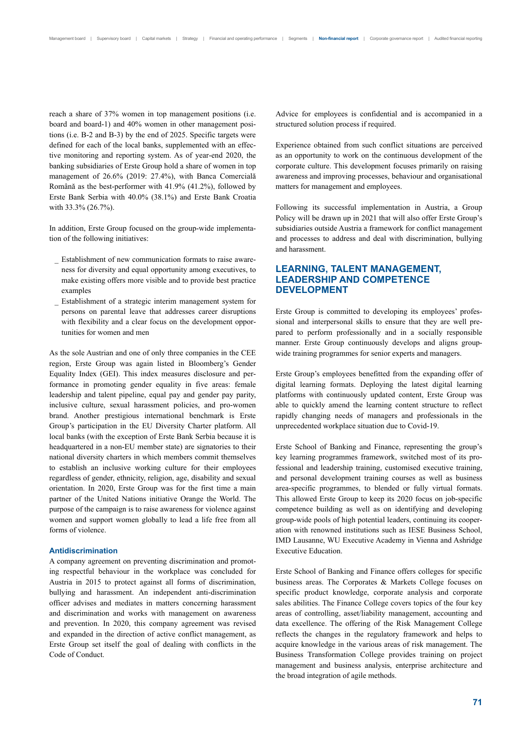reach a share of 37% women in top management positions (i.e. board and board-1) and 40% women in other management positions (i.e. B-2 and B-3) by the end of 2025. Specific targets were defined for each of the local banks, supplemented with an effective monitoring and reporting system. As of year-end 2020, the banking subsidiaries of Erste Group hold a share of women in top management of 26.6% (2019: 27.4%), with Banca Comercială Română as the best-performer with 41.9% (41.2%), followed by Erste Bank Serbia with 40.0% (38.1%) and Erste Bank Croatia with 33.3% (26.7%).

In addition, Erste Group focused on the group-wide implementation of the following initiatives:

- Establishment of new communication formats to raise awareness for diversity and equal opportunity among executives, to make existing offers more visible and to provide best practice examples
- Establishment of a strategic interim management system for persons on parental leave that addresses career disruptions with flexibility and a clear focus on the development opportunities for women and men

As the sole Austrian and one of only three companies in the CEE region, Erste Group was again listed in Bloomberg's Gender Equality Index (GEI). This index measures disclosure and performance in promoting gender equality in five areas: female leadership and talent pipeline, equal pay and gender pay parity, inclusive culture, sexual harassment policies, and pro-women brand. Another prestigious international benchmark is Erste Group's participation in the EU Diversity Charter platform. All local banks (with the exception of Erste Bank Serbia because it is headquartered in a non-EU member state) are signatories to their national diversity charters in which members commit themselves to establish an inclusive working culture for their employees regardless of gender, ethnicity, religion, age, disability and sexual orientation. In 2020, Erste Group was for the first time a main partner of the United Nations initiative Orange the World. The purpose of the campaign is to raise awareness for violence against women and support women globally to lead a life free from all forms of violence.

#### **Antidiscrimination**

A company agreement on preventing discrimination and promoting respectful behaviour in the workplace was concluded for Austria in 2015 to protect against all forms of discrimination, bullying and harassment. An independent anti-discrimination officer advises and mediates in matters concerning harassment and discrimination and works with management on awareness and prevention. In 2020, this company agreement was revised and expanded in the direction of active conflict management, as Erste Group set itself the goal of dealing with conflicts in the Code of Conduct.

Advice for employees is confidential and is accompanied in a structured solution process if required.

Experience obtained from such conflict situations are perceived as an opportunity to work on the continuous development of the corporate culture. This development focuses primarily on raising awareness and improving processes, behaviour and organisational matters for management and employees.

Following its successful implementation in Austria, a Group Policy will be drawn up in 2021 that will also offer Erste Group's subsidiaries outside Austria a framework for conflict management and processes to address and deal with discrimination, bullying and harassment.

# **LEARNING, TALENT MANAGEMENT, LEADERSHIP AND COMPETENCE DEVELOPMENT**

Erste Group is committed to developing its employees' professional and interpersonal skills to ensure that they are well prepared to perform professionally and in a socially responsible manner. Erste Group continuously develops and aligns groupwide training programmes for senior experts and managers.

Erste Group's employees benefitted from the expanding offer of digital learning formats. Deploying the latest digital learning platforms with continuously updated content, Erste Group was able to quickly amend the learning content structure to reflect rapidly changing needs of managers and professionals in the unprecedented workplace situation due to Covid-19.

Erste School of Banking and Finance, representing the group's key learning programmes framework, switched most of its professional and leadership training, customised executive training, and personal development training courses as well as business area-specific programmes, to blended or fully virtual formats. This allowed Erste Group to keep its 2020 focus on job-specific competence building as well as on identifying and developing group-wide pools of high potential leaders, continuing its cooperation with renowned institutions such as IESE Business School, IMD Lausanne, WU Executive Academy in Vienna and Ashridge Executive Education.

Erste School of Banking and Finance offers colleges for specific business areas. The Corporates & Markets College focuses on specific product knowledge, corporate analysis and corporate sales abilities. The Finance College covers topics of the four key areas of controlling, asset/liability management, accounting and data excellence. The offering of the Risk Management College reflects the changes in the regulatory framework and helps to acquire knowledge in the various areas of risk management. The Business Transformation College provides training on project management and business analysis, enterprise architecture and the broad integration of agile methods.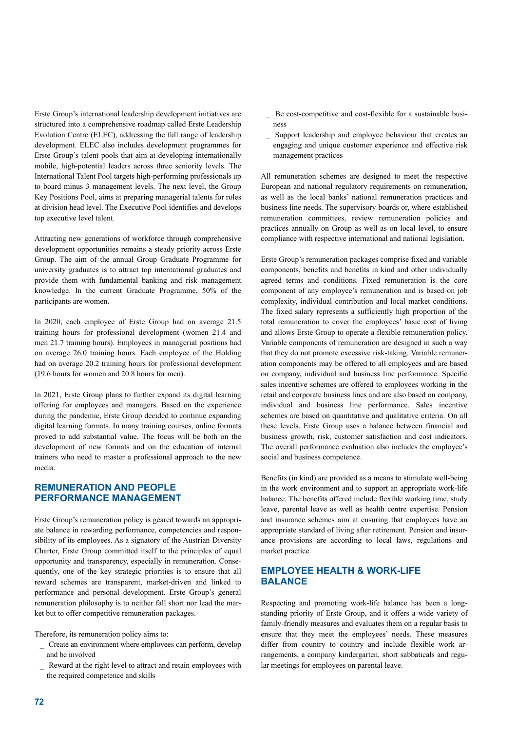Erste Group's international leadership development initiatives are structured into a comprehensive roadmap called Erste Leadership Evolution Centre (ELEC), addressing the full range of leadership development. ELEC also includes development programmes for Erste Group's talent pools that aim at developing internationally mobile, high-potential leaders across three seniority levels. The International Talent Pool targets high-performing professionals up to board minus 3 management levels. The next level, the Group Key Positions Pool, aims at preparing managerial talents for roles at division head level. The Executive Pool identifies and develops top executive level talent.

Attracting new generations of workforce through comprehensive development opportunities remains a steady priority across Erste Group. The aim of the annual Group Graduate Programme for university graduates is to attract top international graduates and provide them with fundamental banking and risk management knowledge. In the current Graduate Programme, 50% of the participants are women.

In 2020, each employee of Erste Group had on average 21.5 training hours for professional development (women 21.4 and men 21.7 training hours). Employees in managerial positions had on average 26.0 training hours. Each employee of the Holding had on average 20.2 training hours for professional development (19.6 hours for women and 20.8 hours for men).

In 2021, Erste Group plans to further expand its digital learning offering for employees and managers. Based on the experience during the pandemic, Erste Group decided to continue expanding digital learning formats. In many training courses, online formats proved to add substantial value. The focus will be both on the development of new formats and on the education of internal trainers who need to master a professional approach to the new media.

# **REMUNERATION AND PEOPLE PERFORMANCE MANAGEMENT**

Erste Group's remuneration policy is geared towards an appropriate balance in rewarding performance, competencies and responsibility of its employees. As a signatory of the Austrian Diversity Charter, Erste Group committed itself to the principles of equal opportunity and transparency, especially in remuneration. Consequently, one of the key strategic priorities is to ensure that all reward schemes are transparent, market-driven and linked to performance and personal development. Erste Group's general remuneration philosophy is to neither fall short nor lead the market but to offer competitive remuneration packages.

Therefore, its remuneration policy aims to:

- Create an environment where employees can perform, develop and be involved
- Reward at the right level to attract and retain employees with the required competence and skills
- Be cost-competitive and cost-flexible for a sustainable business
- Support leadership and employee behaviour that creates an engaging and unique customer experience and effective risk management practices

All remuneration schemes are designed to meet the respective European and national regulatory requirements on remuneration, as well as the local banks' national remuneration practices and business line needs. The supervisory boards or, where established remuneration committees, review remuneration policies and practices annually on Group as well as on local level, to ensure compliance with respective international and national legislation.

Erste Group's remuneration packages comprise fixed and variable components, benefits and benefits in kind and other individually agreed terms and conditions. Fixed remuneration is the core component of any employee's remuneration and is based on job complexity, individual contribution and local market conditions. The fixed salary represents a sufficiently high proportion of the total remuneration to cover the employees' basic cost of living and allows Erste Group to operate a flexible remuneration policy. Variable components of remuneration are designed in such a way that they do not promote excessive risk-taking. Variable remuneration components may be offered to all employees and are based on company, individual and business line performance. Specific sales incentive schemes are offered to employees working in the retail and corporate business lines and are also based on company, individual and business line performance. Sales incentive schemes are based on quantitative and qualitative criteria. On all these levels, Erste Group uses a balance between financial and business growth, risk, customer satisfaction and cost indicators. The overall performance evaluation also includes the employee's social and business competence.

Benefits (in kind) are provided as a means to stimulate well-being in the work environment and to support an appropriate work-life balance. The benefits offered include flexible working time, study leave, parental leave as well as health centre expertise. Pension and insurance schemes aim at ensuring that employees have an appropriate standard of living after retirement. Pension and insurance provisions are according to local laws, regulations and market practice.

# **EMPLOYEE HEALTH & WORK-LIFE BALANCE**

Respecting and promoting work-life balance has been a longstanding priority of Erste Group, and it offers a wide variety of family-friendly measures and evaluates them on a regular basis to ensure that they meet the employees' needs. These measures differ from country to country and include flexible work arrangements, a company kindergarten, short sabbaticals and regular meetings for employees on parental leave.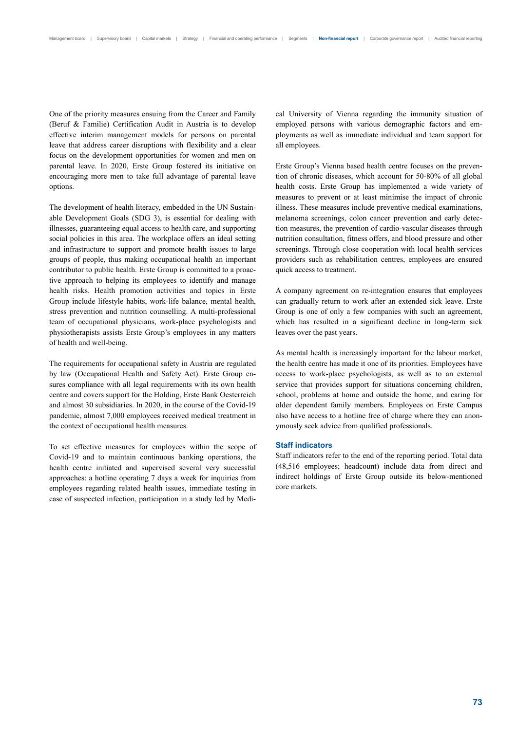One of the priority measures ensuing from the Career and Family (Beruf & Familie) Certification Audit in Austria is to develop effective interim management models for persons on parental leave that address career disruptions with flexibility and a clear focus on the development opportunities for women and men on parental leave. In 2020, Erste Group fostered its initiative on encouraging more men to take full advantage of parental leave options.

The development of health literacy, embedded in the UN Sustainable Development Goals (SDG 3), is essential for dealing with illnesses, guaranteeing equal access to health care, and supporting social policies in this area. The workplace offers an ideal setting and infrastructure to support and promote health issues to large groups of people, thus making occupational health an important contributor to public health. Erste Group is committed to a proactive approach to helping its employees to identify and manage health risks. Health promotion activities and topics in Erste Group include lifestyle habits, work-life balance, mental health, stress prevention and nutrition counselling. A multi-professional team of occupational physicians, work-place psychologists and physiotherapists assists Erste Group's employees in any matters of health and well-being.

The requirements for occupational safety in Austria are regulated by law (Occupational Health and Safety Act). Erste Group ensures compliance with all legal requirements with its own health centre and covers support for the Holding, Erste Bank Oesterreich and almost 30 subsidiaries. In 2020, in the course of the Covid-19 pandemic, almost 7,000 employees received medical treatment in the context of occupational health measures.

To set effective measures for employees within the scope of Covid-19 and to maintain continuous banking operations, the health centre initiated and supervised several very successful approaches: a hotline operating 7 days a week for inquiries from employees regarding related health issues, immediate testing in case of suspected infection, participation in a study led by Medical University of Vienna regarding the immunity situation of employed persons with various demographic factors and employments as well as immediate individual and team support for all employees.

Erste Group's Vienna based health centre focuses on the prevention of chronic diseases, which account for 50-80% of all global health costs. Erste Group has implemented a wide variety of measures to prevent or at least minimise the impact of chronic illness. These measures include preventive medical examinations, melanoma screenings, colon cancer prevention and early detection measures, the prevention of cardio-vascular diseases through nutrition consultation, fitness offers, and blood pressure and other screenings. Through close cooperation with local health services providers such as rehabilitation centres, employees are ensured quick access to treatment.

A company agreement on re-integration ensures that employees can gradually return to work after an extended sick leave. Erste Group is one of only a few companies with such an agreement, which has resulted in a significant decline in long-term sick leaves over the past years.

As mental health is increasingly important for the labour market, the health centre has made it one of its priorities. Employees have access to work-place psychologists, as well as to an external service that provides support for situations concerning children, school, problems at home and outside the home, and caring for older dependent family members. Employees on Erste Campus also have access to a hotline free of charge where they can anonymously seek advice from qualified professionals.

#### **Staff indicators**

Staff indicators refer to the end of the reporting period. Total data (48,516 employees; headcount) include data from direct and indirect holdings of Erste Group outside its below-mentioned core markets.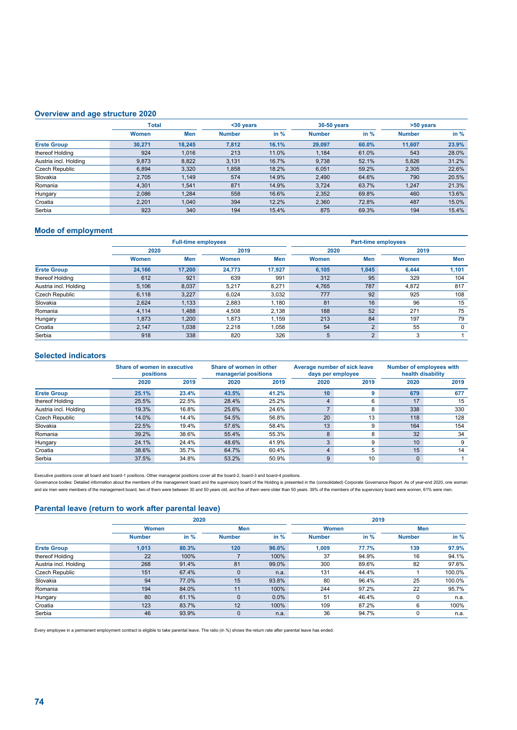### **Overview and age structure 2020**

|                       | <b>Total</b> |            | $30$ years    |        | 30-50 years   |       | >50 years     |        |
|-----------------------|--------------|------------|---------------|--------|---------------|-------|---------------|--------|
|                       | Women        | <b>Men</b> | <b>Number</b> | in $%$ | <b>Number</b> | in %  | <b>Number</b> | in $%$ |
| <b>Erste Group</b>    | 30.271       | 18.245     | 7,812         | 16.1%  | 29.097        | 60.0% | 11.607        | 23.9%  |
| thereof Holding       | 924          | 1,016      | 213           | 11.0%  | 1,184         | 61.0% | 543           | 28.0%  |
| Austria incl. Holding | 9,873        | 8,822      | 3,131         | 16.7%  | 9,738         | 52.1% | 5,826         | 31.2%  |
| Czech Republic        | 6.894        | 3,320      | 1,858         | 18.2%  | 6,051         | 59.2% | 2,305         | 22.6%  |
| Slovakia              | 2.705        | 1.149      | 574           | 14.9%  | 2.490         | 64.6% | 790           | 20.5%  |
| Romania               | 4.301        | 1,541      | 871           | 14.9%  | 3.724         | 63.7% | 1.247         | 21.3%  |
| Hungary               | 2,086        | 1,284      | 558           | 16.6%  | 2,352         | 69.8% | 460           | 13.6%  |
| Croatia               | 2.201        | 1.040      | 394           | 12.2%  | 2.360         | 72.8% | 487           | 15.0%  |
| Serbia                | 923          | 340        | 194           | 15.4%  | 875           | 69.3% | 194           | 15.4%  |

### **Mode of employment**

|                       |        | <b>Full-time employees</b> |              |        | <b>Part-time employees</b> |                |       |             |  |  |
|-----------------------|--------|----------------------------|--------------|--------|----------------------------|----------------|-------|-------------|--|--|
|                       | 2020   |                            | 2019         |        | 2020                       |                | 2019  |             |  |  |
|                       | Women  | <b>Men</b>                 | <b>Women</b> | Men    | Women                      | <b>Men</b>     | Women | Men         |  |  |
| <b>Erste Group</b>    | 24.166 | 17,200                     | 24.773       | 17.927 | 6,105                      | 1,045          | 6.444 | 1,101       |  |  |
| thereof Holding       | 612    | 921                        | 639          | 991    | 312                        | 95             | 329   | 104         |  |  |
| Austria incl. Holding | 5,106  | 8,037                      | 5,217        | 8.271  | 4.765                      | 787            | 4,872 | 817         |  |  |
| Czech Republic        | 6,118  | 3,227                      | 6,024        | 3,032  | 777                        | 92             | 925   | 108         |  |  |
| Slovakia              | 2.624  | 1,133                      | 2,883        | 1.180  | 81                         | 16             | 96    | 15          |  |  |
| Romania               | 4,114  | 1,488                      | 4,508        | 2,138  | 188                        | 52             | 271   | 75          |  |  |
| Hungary               | 1.873  | 1,200                      | 1.873        | 1.159  | 213                        | 84             | 197   | 79          |  |  |
| Croatia               | 2,147  | 1,038                      | 2,218        | 1,058  | 54                         | 2              | 55    | $\mathbf 0$ |  |  |
| Serbia                | 918    | 338                        | 820          | 326    | 5                          | $\overline{2}$ | 3     |             |  |  |

 $\overline{\phantom{a}}$ 

# **Selected indicators**

|                       | Share of women in executive<br>positions |       |       | Share of women in other<br>managerial positions |      | Average number of sick leave<br>days per employee | <b>Number of employees with</b><br>health disability |      |  |
|-----------------------|------------------------------------------|-------|-------|-------------------------------------------------|------|---------------------------------------------------|------------------------------------------------------|------|--|
|                       | 2020                                     | 2019  | 2020  | 2019                                            | 2020 | 2019                                              | 2020                                                 | 2019 |  |
| <b>Erste Group</b>    | 25.1%                                    | 23.4% | 43.5% | 41.2%                                           | 10   | 9                                                 | 679                                                  | 677  |  |
| thereof Holding       | 25.5%                                    | 22.5% | 28.4% | 25.2%                                           |      | 6                                                 | 17                                                   | 15   |  |
| Austria incl. Holding | 19.3%                                    | 16.8% | 25.6% | 24.6%                                           |      | 8                                                 | 338                                                  | 330  |  |
| Czech Republic        | 14.0%                                    | 14.4% | 54.5% | 56.8%                                           | 20   | 13                                                | 118                                                  | 128  |  |
| Slovakia              | 22.5%                                    | 19.4% | 57.6% | 58.4%                                           | 13   | 9                                                 | 164                                                  | 154  |  |
| Romania               | 39.2%                                    | 38.6% | 55.4% | 55.3%                                           | 8    | 8                                                 | 32                                                   | 34   |  |
| Hungary               | 24.1%                                    | 24.4% | 48.6% | 41.9%                                           | 3    | 9                                                 | 10                                                   | 9    |  |
| Croatia               | 38.6%                                    | 35.7% | 64.7% | 60.4%                                           |      | 5                                                 | 15                                                   | 14   |  |
| Serbia                | 37.5%                                    | 34.8% | 53.2% | 50.9%                                           | 9    | 10                                                | $\mathbf{0}$                                         |      |  |

Executive positions cover all board and board-1 positions. Other managerial positions cover all the board-2, board-3 and board-4 positions.

Governance bodies: Detailed information about the members of the management board and the supervisory board of the Holding is presented in the (consolidated) Corporate Governance Report. As of year-end 2020, one woman<br>and

#### **Parental leave (return to work after parental leave)**

|                       |               | 2020         |               |        | 2019          |              |               |        |  |
|-----------------------|---------------|--------------|---------------|--------|---------------|--------------|---------------|--------|--|
|                       |               | <b>Women</b> |               | Men    |               | <b>Women</b> | Men           |        |  |
|                       | <b>Number</b> | in $%$       | <b>Number</b> | in $%$ | <b>Number</b> | in $%$       | <b>Number</b> | in $%$ |  |
| <b>Erste Group</b>    | 1,013         | 80.3%        | 120           | 96.0%  | 1,009         | 77.7%        | 139           | 97.9%  |  |
| thereof Holding       | 22            | 100%         |               | 100%   | 37            | 94.9%        | 16            | 94.1%  |  |
| Austria incl. Holding | 268           | 91.4%        | 81            | 99.0%  | 300           | 89.6%        | 82            | 97.6%  |  |
| Czech Republic        | 151           | 67.4%        | $\mathbf 0$   | n.a.   | 131           | 44.4%        |               | 100.0% |  |
| Slovakia              | 94            | 77.0%        | 15            | 93.8%  | 80            | 96.4%        | 25            | 100.0% |  |
| Romania               | 194           | 84.0%        | 11            | 100%   | 244           | 97.2%        | 22            | 95.7%  |  |
| Hungary               | 80            | 61.1%        | $\Omega$      | 0.0%   | 51            | 46.4%        | 0             | n.a.   |  |
| Croatia               | 123           | 83.7%        | 12            | 100%   | 109           | 87.2%        | 6             | 100%   |  |
| Serbia                | 46            | 93.9%        | $\mathbf 0$   | n.a.   | 36            | 94.7%        | 0             | n.a.   |  |

Every employee in a permanent employment contract is eligible to take parental leave. The ratio (in %) shows the return rate after parental leave has ended.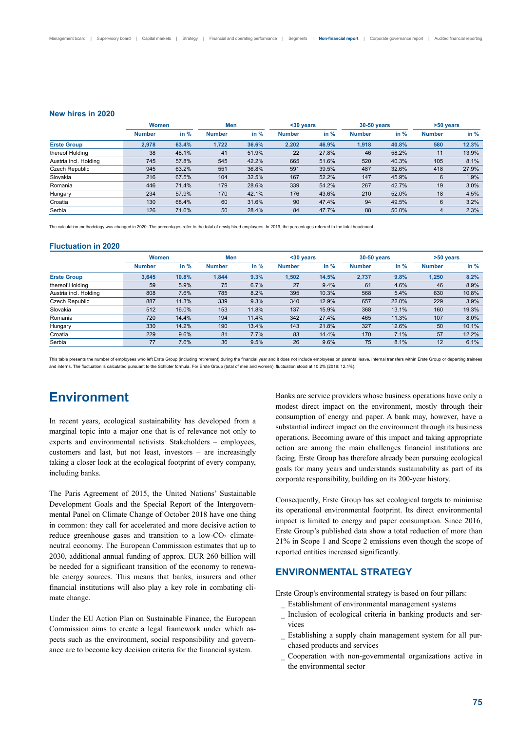#### **New hires in 2020**

|                       |               | <b>Women</b> |               | Men    |               | $30$ years |               | 30-50 years | >50 years     |        |
|-----------------------|---------------|--------------|---------------|--------|---------------|------------|---------------|-------------|---------------|--------|
|                       | <b>Number</b> | in %         | <b>Number</b> | in $%$ | <b>Number</b> | in %       | <b>Number</b> | in $%$      | <b>Number</b> | in $%$ |
| <b>Erste Group</b>    | 2.978         | 63.4%        | 1.722         | 36.6%  | 2.202         | 46.9%      | 1,918         | 40.8%       | 580           | 12.3%  |
| thereof Holding       | 38            | 48.1%        | 41            | 51.9%  | 22            | 27.8%      | 46            | 58.2%       | 11            | 13.9%  |
| Austria incl. Holding | 745           | 57.8%        | 545           | 42.2%  | 665           | 51.6%      | 520           | 40.3%       | 105           | 8.1%   |
| Czech Republic        | 945           | 63.2%        | 551           | 36.8%  | 591           | 39.5%      | 487           | 32.6%       | 418           | 27.9%  |
| Slovakia              | 216           | 67.5%        | 104           | 32.5%  | 167           | 52.2%      | 147           | 45.9%       | 6             | 1.9%   |
| Romania               | 446           | 71.4%        | 179           | 28.6%  | 339           | 54.2%      | 267           | 42.7%       | 19            | 3.0%   |
| Hungary               | 234           | 57.9%        | 170           | 42.1%  | 176           | 43.6%      | 210           | 52.0%       | 18            | 4.5%   |
| Croatia               | 130           | 68.4%        | 60            | 31.6%  | 90            | 47.4%      | 94            | 49.5%       | 6             | 3.2%   |
| Serbia                | 126           | 71.6%        | 50            | 28.4%  | 84            | 47.7%      | 88            | 50.0%       | 4             | 2.3%   |

The calculation methodology was changed in 2020. The percentages refer to the total of newly hired employees. In 2019, the percentages referred to the total headcount

#### **Fluctuation in 2020**

|                       | <b>Women</b>  |        | Men           |        | $30$ years    |       | <b>30-50 years</b> |       | >50 years     |        |
|-----------------------|---------------|--------|---------------|--------|---------------|-------|--------------------|-------|---------------|--------|
|                       | <b>Number</b> | in $%$ | <b>Number</b> | in $%$ | <b>Number</b> | in %  | <b>Number</b>      | in %  | <b>Number</b> | in $%$ |
| <b>Erste Group</b>    | 3,645         | 10.8%  | 1.844         | 9.3%   | 1,502         | 14.5% | 2,737              | 9.8%  | 1,250         | 8.2%   |
| thereof Holding       | 59            | 5.9%   | 75            | 6.7%   | 27            | 9.4%  | 61                 | 4.6%  | 46            | 8.9%   |
| Austria incl. Holding | 808           | 7.6%   | 785           | 8.2%   | 395           | 10.3% | 568                | 5.4%  | 630           | 10.8%  |
| Czech Republic        | 887           | 11.3%  | 339           | 9.3%   | 340           | 12.9% | 657                | 22.0% | 229           | 3.9%   |
| Slovakia              | 512           | 16.0%  | 153           | 11.8%  | 137           | 15.9% | 368                | 13.1% | 160           | 19.3%  |
| Romania               | 720           | 14.4%  | 194           | 11.4%  | 342           | 27.4% | 465                | 11.3% | 107           | 8.0%   |
| Hungary               | 330           | 14.2%  | 190           | 13.4%  | 143           | 21.8% | 327                | 12.6% | 50            | 10.1%  |
| Croatia               | 229           | 9.6%   | 81            | 7.7%   | 83            | 14.4% | 170                | 7.1%  | 57            | 12.2%  |
| Serbia                | 77            | 7.6%   | 36            | 9.5%   | 26            | 9.6%  | 75                 | 8.1%  | 12            | 6.1%   |

This table presents the number of employees who left Erste Group (including retirement) during the financial year and it does not include employees on parental leave, internal transfers within Erste Group or departing trai and interns. The fluctuation is calculated pursuant to the Schlüter formula. For Erste Group (total of men and women), fluctuation stood at 10.2% (2019: 12.1%).

# **Environment**

In recent years, ecological sustainability has developed from a marginal topic into a major one that is of relevance not only to experts and environmental activists. Stakeholders – employees, customers and last, but not least, investors – are increasingly taking a closer look at the ecological footprint of every company, including banks.

The Paris Agreement of 2015, the United Nations' Sustainable Development Goals and the Special Report of the Intergovernmental Panel on Climate Change of October 2018 have one thing in common: they call for accelerated and more decisive action to reduce greenhouse gases and transition to a low-CO<sub>2</sub> climateneutral economy. The European Commission estimates that up to 2030, additional annual funding of approx. EUR 260 billion will be needed for a significant transition of the economy to renewable energy sources. This means that banks, insurers and other financial institutions will also play a key role in combating climate change.

Under the EU Action Plan on Sustainable Finance, the European Commission aims to create a legal framework under which aspects such as the environment, social responsibility and governance are to become key decision criteria for the financial system.

Banks are service providers whose business operations have only a modest direct impact on the environment, mostly through their consumption of energy and paper. A bank may, however, have a substantial indirect impact on the environment through its business operations. Becoming aware of this impact and taking appropriate action are among the main challenges financial institutions are facing. Erste Group has therefore already been pursuing ecological goals for many years and understands sustainability as part of its corporate responsibility, building on its 200-year history.

Consequently, Erste Group has set ecological targets to minimise its operational environmental footprint. Its direct environmental impact is limited to energy and paper consumption. Since 2016, Erste Group's published data show a total reduction of more than 21% in Scope 1 and Scope 2 emissions even though the scope of reported entities increased significantly.

## **ENVIRONMENTAL STRATEGY**

Erste Group's environmental strategy is based on four pillars:

- Establishment of environmental management systems
- Inclusion of ecological criteria in banking products and services
- Establishing a supply chain management system for all purchased products and services
- Cooperation with non-governmental organizations active in the environmental sector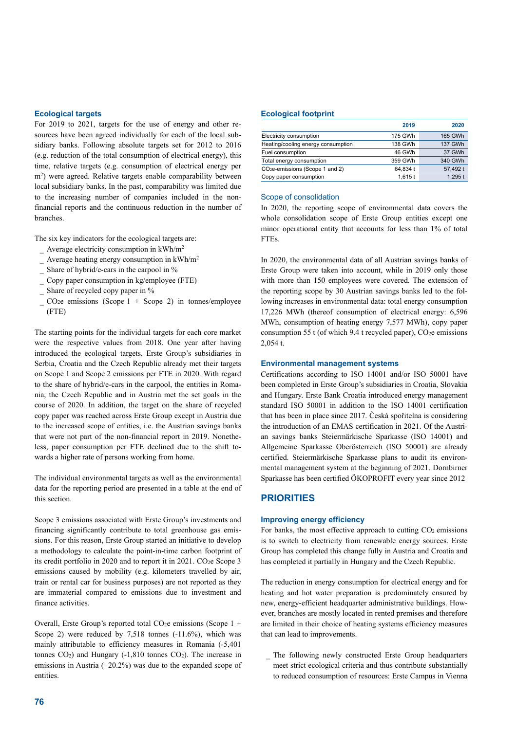#### **Ecological targets**

For 2019 to 2021, targets for the use of energy and other resources have been agreed individually for each of the local subsidiary banks. Following absolute targets set for 2012 to 2016 (e.g. reduction of the total consumption of electrical energy), this time, relative targets (e.g. consumption of electrical energy per m2) were agreed. Relative targets enable comparability between local subsidiary banks. In the past, comparability was limited due to the increasing number of companies included in the nonfinancial reports and the continuous reduction in the number of branches.

The six key indicators for the ecological targets are:

- $-$  Average electricity consumption in kWh/m<sup>2</sup>
- $-$  Average heating energy consumption in kWh/m<sup>2</sup>
- Share of hybrid/e-cars in the carpool in %
- Copy paper consumption in kg/employee (FTE)
- Share of recycled copy paper in %
- $\sim$  CO<sub>2</sub>e emissions (Scope 1 + Scope 2) in tonnes/employee (FTE)

The starting points for the individual targets for each core market were the respective values from 2018. One year after having introduced the ecological targets, Erste Group's subsidiaries in Serbia, Croatia and the Czech Republic already met their targets on Scope 1 and Scope 2 emissions per FTE in 2020. With regard to the share of hybrid/e-cars in the carpool, the entities in Romania, the Czech Republic and in Austria met the set goals in the course of 2020. In addition, the target on the share of recycled copy paper was reached across Erste Group except in Austria due to the increased scope of entities, i.e. the Austrian savings banks that were not part of the non-financial report in 2019. Nonetheless, paper consumption per FTE declined due to the shift towards a higher rate of persons working from home.

The individual environmental targets as well as the environmental data for the reporting period are presented in a table at the end of this section.

Scope 3 emissions associated with Erste Group's investments and financing significantly contribute to total greenhouse gas emissions. For this reason, Erste Group started an initiative to develop a methodology to calculate the point-in-time carbon footprint of its credit portfolio in 2020 and to report it in 2021. CO<sub>2</sub>e Scope 3 emissions caused by mobility (e.g. kilometers travelled by air, train or rental car for business purposes) are not reported as they are immaterial compared to emissions due to investment and finance activities.

Overall, Erste Group's reported total CO<sub>2</sub>e emissions (Scope  $1 +$ Scope 2) were reduced by  $7,518$  tonnes  $(-11.6\%)$ , which was mainly attributable to efficiency measures in Romania (-5,401 tonnes  $CO<sub>2</sub>$ ) and Hungary (-1,810 tonnes  $CO<sub>2</sub>$ ). The increase in emissions in Austria (+20.2%) was due to the expanded scope of entities.

#### **Ecological footprint**

|                                    | 2019     | 2020           |
|------------------------------------|----------|----------------|
| Electricity consumption            | 175 GWh  | 165 GWh        |
| Heating/cooling energy consumption | 138 GWh  | <b>137 GWh</b> |
| Fuel consumption                   | 46 GWh   | 37 GWh         |
| Total energy consumption           | 359 GWh  | 340 GWh        |
| $CO2e$ -emissions (Scope 1 and 2)  | 64.834 t | 57,492 t       |
| Copy paper consumption             | 1.615t   | 1,295t         |

#### Scope of consolidation

In 2020, the reporting scope of environmental data covers the whole consolidation scope of Erste Group entities except one minor operational entity that accounts for less than 1% of total FTEs.

In 2020, the environmental data of all Austrian savings banks of Erste Group were taken into account, while in 2019 only those with more than 150 employees were covered. The extension of the reporting scope by 30 Austrian savings banks led to the following increases in environmental data: total energy consumption 17,226 MWh (thereof consumption of electrical energy: 6,596 MWh, consumption of heating energy 7,577 MWh), copy paper consumption 55 t (of which 9.4 t recycled paper),  $CO<sub>2</sub>e$  emissions 2,054 t.

#### **Environmental management systems**

Certifications according to ISO 14001 and/or ISO 50001 have been completed in Erste Group's subsidiaries in Croatia, Slovakia and Hungary. Erste Bank Croatia introduced energy management standard ISO 50001 in addition to the ISO 14001 certification that has been in place since 2017. Česká spořitelna is considering the introduction of an EMAS certification in 2021. Of the Austrian savings banks Steiermärkische Sparkasse (ISO 14001) and Allgemeine Sparkasse Oberösterreich (ISO 50001) are already certified. Steiermärkische Sparkasse plans to audit its environmental management system at the beginning of 2021. Dornbirner Sparkasse has been certified ÖKOPROFIT every year since 2012

#### **PRIORITIES**

#### **Improving energy efficiency**

For banks, the most effective approach to cutting  $CO<sub>2</sub>$  emissions is to switch to electricity from renewable energy sources. Erste Group has completed this change fully in Austria and Croatia and has completed it partially in Hungary and the Czech Republic.

The reduction in energy consumption for electrical energy and for heating and hot water preparation is predominately ensured by new, energy-efficient headquarter administrative buildings. However, branches are mostly located in rented premises and therefore are limited in their choice of heating systems efficiency measures that can lead to improvements.

 The following newly constructed Erste Group headquarters meet strict ecological criteria and thus contribute substantially to reduced consumption of resources: Erste Campus in Vienna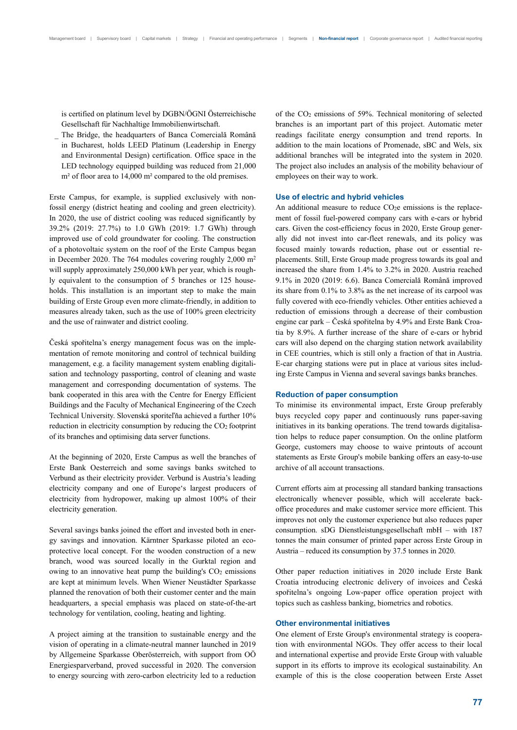is certified on platinum level by DGBN/ÖGNI Österreichische Gesellschaft für Nachhaltige Immobilienwirtschaft.

 The Bridge, the headquarters of Banca Comercială Română in Bucharest, holds LEED Platinum (Leadership in Energy and Environmental Design) certification. Office space in the LED technology equipped building was reduced from 21,000 m<sup>2</sup> of floor area to 14,000 m<sup>2</sup> compared to the old premises.

Erste Campus, for example, is supplied exclusively with nonfossil energy (district heating and cooling and green electricity). In 2020, the use of district cooling was reduced significantly by 39.2% (2019: 27.7%) to 1.0 GWh (2019: 1.7 GWh) through improved use of cold groundwater for cooling. The construction of a photovoltaic system on the roof of the Erste Campus began in December 2020. The 764 modules covering roughly 2,000 m2 will supply approximately 250,000 kWh per year, which is roughly equivalent to the consumption of 5 branches or 125 households. This installation is an important step to make the main building of Erste Group even more climate-friendly, in addition to measures already taken, such as the use of 100% green electricity and the use of rainwater and district cooling.

Česká spořitelna's energy management focus was on the implementation of remote monitoring and control of technical building management, e.g. a facility management system enabling digitalisation and technology passporting, control of cleaning and waste management and corresponding documentation of systems. The bank cooperated in this area with the Centre for Energy Efficient Buildings and the Faculty of Mechanical Engineering of the Czech Technical University. Slovenská sporiteľňa achieved a further 10% reduction in electricity consumption by reducing the CO2 footprint of its branches and optimising data server functions.

At the beginning of 2020, Erste Campus as well the branches of Erste Bank Oesterreich and some savings banks switched to Verbund as their electricity provider. Verbund is Austria's leading electricity company and one of Europe's largest producers of electricity from hydropower, making up almost 100% of their electricity generation.

Several savings banks joined the effort and invested both in energy savings and innovation. Kärntner Sparkasse piloted an ecoprotective local concept. For the wooden construction of a new branch, wood was sourced locally in the Gurktal region and owing to an innovative heat pump the building's  $CO<sub>2</sub>$  emissions are kept at minimum levels. When Wiener Neustädter Sparkasse planned the renovation of both their customer center and the main headquarters, a special emphasis was placed on state-of-the-art technology for ventilation, cooling, heating and lighting.

A project aiming at the transition to sustainable energy and the vision of operating in a climate-neutral manner launched in 2019 by Allgemeine Sparkasse Oberösterreich, with support from OÖ Energiesparverband, proved successful in 2020. The conversion to energy sourcing with zero-carbon electricity led to a reduction of the CO2 emissions of 59%. Technical monitoring of selected branches is an important part of this project. Automatic meter readings facilitate energy consumption and trend reports. In addition to the main locations of Promenade, sBC and Wels, six additional branches will be integrated into the system in 2020. The project also includes an analysis of the mobility behaviour of employees on their way to work.

#### **Use of electric and hybrid vehicles**

An additional measure to reduce  $CO<sub>2</sub>e$  emissions is the replacement of fossil fuel-powered company cars with e-cars or hybrid cars. Given the cost-efficiency focus in 2020, Erste Group generally did not invest into car-fleet renewals, and its policy was focused mainly towards reduction, phase out or essential replacements. Still, Erste Group made progress towards its goal and increased the share from 1.4% to 3.2% in 2020. Austria reached 9.1% in 2020 (2019: 6.6). Banca Comercială Română improved its share from 0.1% to 3.8% as the net increase of its carpool was fully covered with eco-friendly vehicles. Other entities achieved a reduction of emissions through a decrease of their combustion engine car park – Česká spořitelna by 4.9% and Erste Bank Croatia by 8.9%. A further increase of the share of e-cars or hybrid cars will also depend on the charging station network availability in CEE countries, which is still only a fraction of that in Austria. E-car charging stations were put in place at various sites including Erste Campus in Vienna and several savings banks branches.

#### **Reduction of paper consumption**

To minimise its environmental impact, Erste Group preferably buys recycled copy paper and continuously runs paper-saving initiatives in its banking operations. The trend towards digitalisation helps to reduce paper consumption. On the online platform George, customers may choose to waive printouts of account statements as Erste Group's mobile banking offers an easy-to-use archive of all account transactions.

Current efforts aim at processing all standard banking transactions electronically whenever possible, which will accelerate backoffice procedures and make customer service more efficient. This improves not only the customer experience but also reduces paper consumption. sDG Dienstleistungsgesellschaft mbH – with 187 tonnes the main consumer of printed paper across Erste Group in Austria – reduced its consumption by 37.5 tonnes in 2020.

Other paper reduction initiatives in 2020 include Erste Bank Croatia introducing electronic delivery of invoices and Česká spořitelna's ongoing Low-paper office operation project with topics such as cashless banking, biometrics and robotics.

#### **Other environmental initiatives**

One element of Erste Group's environmental strategy is cooperation with environmental NGOs. They offer access to their local and international expertise and provide Erste Group with valuable support in its efforts to improve its ecological sustainability. An example of this is the close cooperation between Erste Asset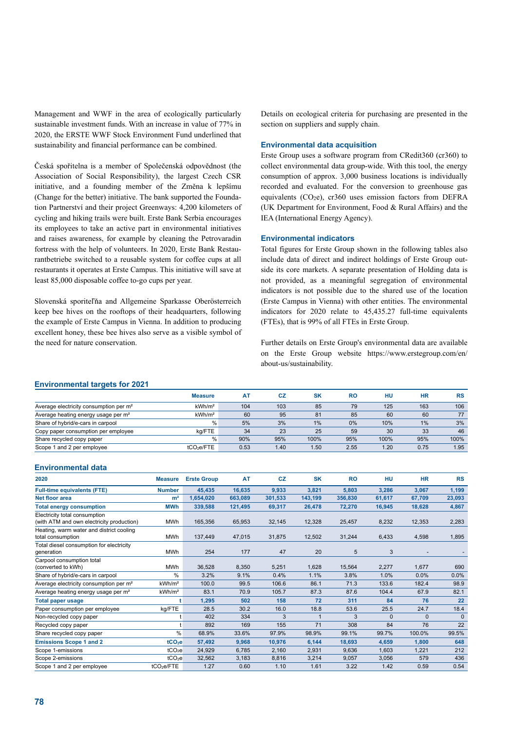Management and WWF in the area of ecologically particularly sustainable investment funds. With an increase in value of 77% in 2020, the ERSTE WWF Stock Environment Fund underlined that sustainability and financial performance can be combined.

Česká spořitelna is a member of Společenská odpovědnost (the Association of Social Responsibility), the largest Czech CSR initiative, and a founding member of the Změna k lepšímu (Change for the better) initiative. The bank supported the Foundation Partnerství and their project Greenways: 4,200 kilometers of cycling and hiking trails were built. Erste Bank Serbia encourages its employees to take an active part in environmental initiatives and raises awareness, for example by cleaning the Petrovaradin fortress with the help of volunteers. In 2020, Erste Bank Restaurantbetriebe switched to a reusable system for coffee cups at all restaurants it operates at Erste Campus. This initiative will save at least 85,000 disposable coffee to-go cups per year.

Slovenská sporiteľňa and Allgemeine Sparkasse Oberösterreich keep bee hives on the rooftops of their headquarters, following the example of Erste Campus in Vienna. In addition to producing excellent honey, these bee hives also serve as a visible symbol of the need for nature conservation.

Details on ecological criteria for purchasing are presented in the section on suppliers and supply chain.

#### **Environmental data acquisition**

Erste Group uses a software program from CRedit360 (cr360) to collect environmental data group-wide. With this tool, the energy consumption of approx. 3,000 business locations is individually recorded and evaluated. For the conversion to greenhouse gas equivalents  $(CO<sub>2</sub>e)$ , cr360 uses emission factors from DEFRA (UK Department for Environment, Food & Rural Affairs) and the IEA (International Energy Agency).

#### **Environmental indicators**

Total figures for Erste Group shown in the following tables also include data of direct and indirect holdings of Erste Group outside its core markets. A separate presentation of Holding data is not provided, as a meaningful segregation of environmental indicators is not possible due to the shared use of the location (Erste Campus in Vienna) with other entities. The environmental indicators for 2020 relate to 45,435.27 full-time equivalents (FTEs), that is 99% of all FTEs in Erste Group.

Further details on Erste Group's environmental data are available on the Erste Group website https://www.erstegroup.com/en/ about-us/sustainability.

#### **Environmental targets for 2021**

|                                                    | <b>Measure</b>         | <b>AT</b> | CZ   | <b>SK</b> | RO   | HU   | НR   | <b>RS</b> |
|----------------------------------------------------|------------------------|-----------|------|-----------|------|------|------|-----------|
| Average electricity consumption per m <sup>2</sup> | kWh/m <sup>2</sup>     | 104       | 103  | 85        | 79   | 125  | 163  | 106       |
| Average heating energy usage per m <sup>2</sup>    | kWh/m <sup>2</sup>     | 60        | 95   | 81        | 85   | 60   | 60   | 77        |
| Share of hybrid/e-cars in carpool                  | $\%$                   | 5%        | 3%   | 1%        | 0%   | 10%  | 1%   | 3%        |
| Copy paper consumption per employee                | kg/FTE                 | 34        | 23   | 25        | 59   | 30   | 33   | 46        |
| Share recycled copy paper                          | %                      | 90%       | 95%  | 100%      | 95%  | 100% | 95%  | 100%      |
| Scope 1 and 2 per employee                         | tCO <sub>2</sub> e/FTE | 0.53      | 1.40 | 1.50      | 2.55 | 1.20 | 0.75 | 1.95      |

#### **Environmental data**

| 2020                                                                       | <b>Measure</b>         | <b>Erste Group</b> | AT      | <b>CZ</b> | <b>SK</b> | <b>RO</b> | HU       | <b>HR</b> | <b>RS</b> |
|----------------------------------------------------------------------------|------------------------|--------------------|---------|-----------|-----------|-----------|----------|-----------|-----------|
| <b>Full-time equivalents (FTE)</b>                                         | <b>Number</b>          | 45,435             | 16,635  | 9,933     | 3,821     | 5,803     | 3,286    | 3,067     | 1,199     |
| <b>Net floor area</b>                                                      | m <sup>2</sup>         | 1,654,020          | 663,089 | 301.533   | 143,199   | 356,830   | 61,617   | 67,709    | 23,093    |
| <b>Total energy consumption</b>                                            | <b>MWh</b>             | 339,588            | 121,495 | 69,317    | 26,478    | 72,270    | 16,945   | 18,628    | 4,867     |
| Electricity total consumption<br>(with ATM and own electricity production) | <b>MWh</b>             | 165,356            | 65,953  | 32,145    | 12,328    | 25,457    | 8,232    | 12,353    | 2,283     |
| Heating, warm water and district cooling<br>total consumption              | <b>MWh</b>             | 137,449            | 47,015  | 31,875    | 12,502    | 31,244    | 6,433    | 4,598     | 1,895     |
| Total diesel consumption for electricity<br>generation                     | MWh                    | 254                | 177     | 47        | 20        | 5         | 3        |           |           |
| Carpool consumption total<br>(converted to kWh)                            | MWh                    | 36,528             | 8,350   | 5,251     | 1,628     | 15,564    | 2,277    | 1,677     | 690       |
| Share of hybrid/e-cars in carpool                                          | %                      | 3.2%               | 9.1%    | 0.4%      | 1.1%      | 3.8%      | 1.0%     | 0.0%      | 0.0%      |
| Average electricity consumption per m <sup>2</sup>                         | kWh/m <sup>2</sup>     | 100.0              | 99.5    | 106.6     | 86.1      | 71.3      | 133.6    | 182.4     | 98.9      |
| Average heating energy usage per m <sup>2</sup>                            | kWh/m <sup>2</sup>     | 83.1               | 70.9    | 105.7     | 87.3      | 87.6      | 104.4    | 67.9      | 82.1      |
| <b>Total paper usage</b>                                                   |                        | 1,295              | 502     | 158       | 72        | 311       | 84       | 76        | 22        |
| Paper consumption per employee                                             | kg/FTE                 | 28.5               | 30.2    | 16.0      | 18.8      | 53.6      | 25.5     | 24.7      | 18.4      |
| Non-recycled copy paper                                                    |                        | 402                | 334     | 3         | 1         | 3         | $\Omega$ | $\Omega$  | $\Omega$  |
| Recycled copy paper                                                        |                        | 892                | 169     | 155       | 71        | 308       | 84       | 76        | 22        |
| Share recycled copy paper                                                  | $\frac{0}{0}$          | 68.9%              | 33.6%   | 97.9%     | 98.9%     | 99.1%     | 99.7%    | 100.0%    | 99.5%     |
| <b>Emissions Scope 1 and 2</b>                                             | tCO <sub>2</sub> e     | 57,492             | 9.968   | 10,976    | 6,144     | 18,693    | 4,659    | 1,800     | 648       |
| Scope 1-emissions                                                          | tCO <sub>2</sub> e     | 24,929             | 6,785   | 2,160     | 2,931     | 9,636     | 1,603    | 1,221     | 212       |
| Scope 2-emissions                                                          | tCO <sub>2</sub> e     | 32,562             | 3,183   | 8,816     | 3,214     | 9,057     | 3,056    | 579       | 436       |
| Scope 1 and 2 per employee                                                 | tCO <sub>2</sub> e/FTE | 1.27               | 0.60    | 1.10      | 1.61      | 3.22      | 1.42     | 0.59      | 0.54      |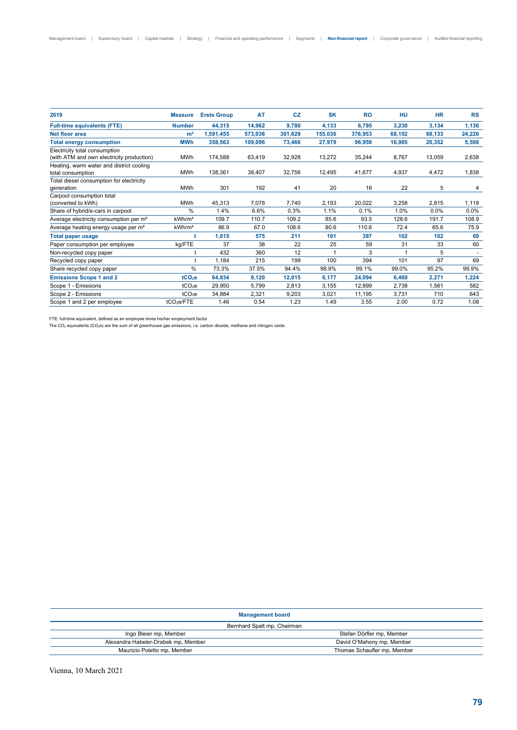| <b>Measure</b>         | <b>Erste Group</b> | <b>AT</b>                                                              | <b>CZ</b> | <b>SK</b> | <b>RO</b> | HU     | <b>HR</b> | <b>RS</b> |
|------------------------|--------------------|------------------------------------------------------------------------|-----------|-----------|-----------|--------|-----------|-----------|
| <b>Number</b>          | 44,315             | 14,962                                                                 | 9,780     | 4,133     | 6,795     | 3,230  | 3,134     | 1,136     |
| m <sup>2</sup>         | 1,591,455          | 573,036                                                                | 301,629   | 155,036   | 376,953   | 68,192 | 68,133    | 24,226    |
| <b>MWh</b>             | 358,563            | 109,096                                                                | 73,466    | 27,979    | 96,959    | 16,985 | 20,352    | 5,598     |
| <b>MWh</b>             | 174,588            | 63,419                                                                 | 32,928    | 13,272    | 35,244    | 8,767  | 13,059    | 2,638     |
| <b>MWh</b>             | 138,361            | 38,407                                                                 | 32,756    | 12,495    | 41,677    | 4,937  | 4,472     | 1,838     |
| <b>MWh</b>             | 301                | 192                                                                    | 41        | 20        | 16        | 22     | 5         | 4         |
| MWh                    | 45,313             | 7,078                                                                  | 7,740     | 2,193     | 20,022    | 3,258  | 2,815     | 1,118     |
| %                      | 1.4%               | 6.6%                                                                   | 0.3%      | 1.1%      | 0.1%      | 1.0%   | 0.0%      | 0.0%      |
| kWh/m <sup>2</sup>     | 109.7              | 110.7                                                                  | 109.2     | 85.6      | 93.5      | 128.6  | 191.7     | 108.9     |
| kWh/m <sup>2</sup>     | 86.9               | 67.0                                                                   | 108.6     | 80.6      | 110.6     | 72.4   | 65.6      | 75.9      |
|                        | 1,615              | 575                                                                    | 211       | 101       | 397       | 102    | 102       | 69        |
| kg/FTE                 | 37                 | 38                                                                     | 22        | 25        | 59        | 31     | 33        | 60        |
|                        | 432                | 360                                                                    | 12        |           | 3         | 1      | 5         |           |
|                        | 1,184              | 215                                                                    | 199       | 100       | 394       | 101    | 97        | 69        |
|                        | 73.3%              | 37.5%                                                                  | 94.4%     | 98.9%     | 99.1%     | 99.0%  | 95.2%     | 99.9%     |
|                        | 64,834             | 8,120                                                                  | 12,015    | 6,177     | 24,094    | 6,469  | 2,271     | 1,224     |
|                        | 29,950             | 5.799                                                                  | 2,813     | 3,155     | 12,899    | 2,738  | 1,561     | 582       |
|                        | 34,884             | 2,321                                                                  | 9,203     | 3,021     | 11,195    | 3,731  | 710       | 643       |
| tCO <sub>2</sub> e/FTE | 1.46               | 0.54                                                                   | 1.23      | 1.49      | 3.55      | 2.00   | 0.72      | 1.08      |
|                        |                    | $\%$<br>tCO <sub>2</sub> e<br>tCO <sub>2</sub> e<br>tCO <sub>2</sub> e |           |           |           |        |           |           |

FTE: full-time equivalent, defined as an employee times his/her employment factor.

The CO2 equivalents (CO2e) are the sum of all greenhouse gas emissions, i.e. carbon dioxide, methane and nitrogen oxide.

#### **Management board**

#### Bernhard Spalt mp, Chairman

| Bernhard Spalt mp, Chairman         |                             |  |  |  |
|-------------------------------------|-----------------------------|--|--|--|
| Ingo Bleier mp, Member              | Stefan Dörfler mp, Member   |  |  |  |
| Alexandra Habeler-Drabek mp, Member | David O'Mahony mp, Member   |  |  |  |
| Maurizio Poletto mp, Member         | Thomas Schaufler mp, Member |  |  |  |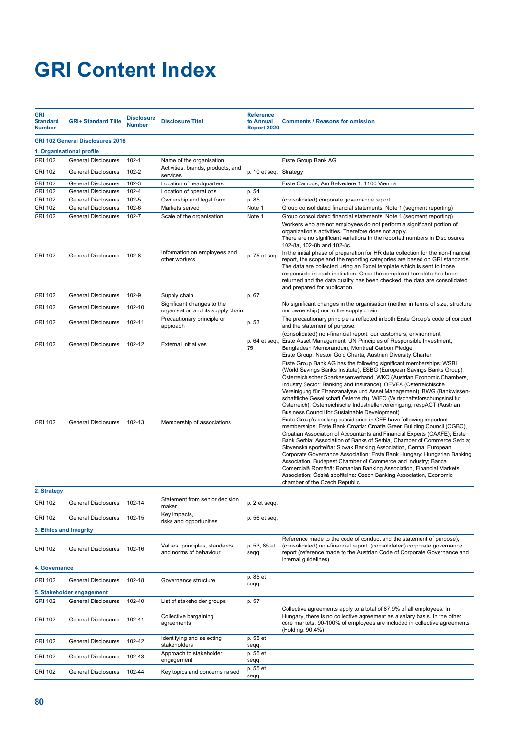# **GRI Content Index**

| <b>GRI</b><br><b>Standard</b><br><b>Number</b> | <b>GRI+ Standard Title</b>                        | <b>Disclosure</b><br><b>Number</b> | <b>Disclosure Titel</b>                                         | <b>Reference</b><br>to Annual<br>Report 2020 | <b>Comments / Reasons for omission</b>                                                                                                                                                                                                                                                                                                                                                                                                                                                                                                                                                                                                                                                                                                                                                                                                                                                                                                                                                                                                                                                                                                                                                                                                                                                    |
|------------------------------------------------|---------------------------------------------------|------------------------------------|-----------------------------------------------------------------|----------------------------------------------|-------------------------------------------------------------------------------------------------------------------------------------------------------------------------------------------------------------------------------------------------------------------------------------------------------------------------------------------------------------------------------------------------------------------------------------------------------------------------------------------------------------------------------------------------------------------------------------------------------------------------------------------------------------------------------------------------------------------------------------------------------------------------------------------------------------------------------------------------------------------------------------------------------------------------------------------------------------------------------------------------------------------------------------------------------------------------------------------------------------------------------------------------------------------------------------------------------------------------------------------------------------------------------------------|
|                                                | <b>GRI 102 General Disclosures 2016</b>           |                                    |                                                                 |                                              |                                                                                                                                                                                                                                                                                                                                                                                                                                                                                                                                                                                                                                                                                                                                                                                                                                                                                                                                                                                                                                                                                                                                                                                                                                                                                           |
|                                                | 1. Organisational profile                         |                                    |                                                                 |                                              |                                                                                                                                                                                                                                                                                                                                                                                                                                                                                                                                                                                                                                                                                                                                                                                                                                                                                                                                                                                                                                                                                                                                                                                                                                                                                           |
| <b>GRI 102</b>                                 | <b>General Disclosures</b>                        | $102 - 1$                          | Name of the organisation                                        |                                              | Erste Group Bank AG                                                                                                                                                                                                                                                                                                                                                                                                                                                                                                                                                                                                                                                                                                                                                                                                                                                                                                                                                                                                                                                                                                                                                                                                                                                                       |
| <b>GRI 102</b>                                 | <b>General Disclosures</b>                        | 102-2                              | Activities, brands, products, and<br>services                   | p. 10 et seq. Strategy                       |                                                                                                                                                                                                                                                                                                                                                                                                                                                                                                                                                                                                                                                                                                                                                                                                                                                                                                                                                                                                                                                                                                                                                                                                                                                                                           |
| <b>GRI 102</b>                                 | <b>General Disclosures</b>                        | $102 - 3$                          | Location of headquarters                                        |                                              | Erste Campus, Am Belvedere 1, 1100 Vienna                                                                                                                                                                                                                                                                                                                                                                                                                                                                                                                                                                                                                                                                                                                                                                                                                                                                                                                                                                                                                                                                                                                                                                                                                                                 |
| <b>GRI 102</b>                                 | <b>General Disclosures</b>                        | 102-4                              | Location of operations                                          | p. 54                                        |                                                                                                                                                                                                                                                                                                                                                                                                                                                                                                                                                                                                                                                                                                                                                                                                                                                                                                                                                                                                                                                                                                                                                                                                                                                                                           |
| <b>GRI 102</b>                                 | <b>General Disclosures</b>                        | 102-5                              | Ownership and legal form                                        | p. 85                                        | (consolidated) corporate governance report                                                                                                                                                                                                                                                                                                                                                                                                                                                                                                                                                                                                                                                                                                                                                                                                                                                                                                                                                                                                                                                                                                                                                                                                                                                |
| <b>GRI 102</b>                                 | <b>General Disclosures</b>                        | 102-6                              | Markets served                                                  | Note 1                                       | Group consolidated financial statements: Note 1 (segment reporting)                                                                                                                                                                                                                                                                                                                                                                                                                                                                                                                                                                                                                                                                                                                                                                                                                                                                                                                                                                                                                                                                                                                                                                                                                       |
| <b>GRI 102</b>                                 | <b>General Disclosures</b>                        | 102-7                              | Scale of the organisation                                       | Note 1                                       | Group consolidated financial statements: Note 1 (segment reporting)                                                                                                                                                                                                                                                                                                                                                                                                                                                                                                                                                                                                                                                                                                                                                                                                                                                                                                                                                                                                                                                                                                                                                                                                                       |
| <b>GRI 102</b>                                 | <b>General Disclosures</b>                        | 102-8                              | Information on employees and<br>other workers                   | p. 75 et seq.                                | Workers who are not employees do not perform a significant portion of<br>organization's activities. Therefore does not apply.<br>There are no significant variations in the reported numbers in Disclosures<br>102-8a, 102-8b and 102-8c.<br>In the initial phase of preparation for HR data collection for the non-financial<br>report, the scope and the reporting categories are based on GRI standards.<br>The data are collected using an Excel template which is sent to those<br>responsible in each institution. Once the completed template has been<br>returned and the data quality has been checked, the data are consolidated<br>and prepared for publication.                                                                                                                                                                                                                                                                                                                                                                                                                                                                                                                                                                                                               |
| <b>GRI 102</b>                                 | <b>General Disclosures</b>                        | 102-9                              | Supply chain                                                    | p. 67                                        |                                                                                                                                                                                                                                                                                                                                                                                                                                                                                                                                                                                                                                                                                                                                                                                                                                                                                                                                                                                                                                                                                                                                                                                                                                                                                           |
| <b>GRI 102</b>                                 | <b>General Disclosures</b>                        | 102-10                             | Significant changes to the<br>organisation and its supply chain |                                              | No significant changes in the organisation (neither in terms of size, structure<br>nor ownership) nor in the supply chain.                                                                                                                                                                                                                                                                                                                                                                                                                                                                                                                                                                                                                                                                                                                                                                                                                                                                                                                                                                                                                                                                                                                                                                |
| <b>GRI 102</b>                                 | General Disclosures                               | 102-11                             | Precautionary principle or<br>approach                          | p. 53                                        | The precautionary principle is reflected in both Erste Group's code of conduct<br>and the statement of purpose.                                                                                                                                                                                                                                                                                                                                                                                                                                                                                                                                                                                                                                                                                                                                                                                                                                                                                                                                                                                                                                                                                                                                                                           |
| <b>GRI 102</b>                                 | <b>General Disclosures</b>                        | 102-12                             | <b>External initiatives</b>                                     | p. 64 et seq.,<br>75                         | (consolidated) non-financial report: our customers, environment;<br>Erste Asset Management: UN Principles of Responsible Investment,<br>Bangladesh Memorandum, Montreal Carbon Pledge<br>Erste Group: Nestor Gold Charta, Austrian Diversity Charter                                                                                                                                                                                                                                                                                                                                                                                                                                                                                                                                                                                                                                                                                                                                                                                                                                                                                                                                                                                                                                      |
| <b>GRI 102</b><br>2. Strategy                  | General Disclosures                               | 102-13                             | Membership of associations                                      |                                              | Erste Group Bank AG has the following significant memberships: WSBI<br>(World Savings Banks Institute), ESBG (European Savings Banks Group),<br>Österreichischer Sparkassenverband, WKO (Austrian Economic Chambers,<br>Industry Sector: Banking and Insurance), OEVFA (Österreichische<br>Vereinigung für Finanzanalyse und Asset Management), BWG (Bankwissen-<br>schaftliche Gesellschaft Österreich), WIFO (Wirtschaftsforschungsinstitut<br>Österreich), Österreichische Industriellenvereinigung, respACT (Austrian<br><b>Business Council for Sustainable Development)</b><br>Erste Group's banking subsidiaries in CEE have following important<br>memberships: Erste Bank Croatia: Croatia Green Building Council (CGBC),<br>Croatian Association of Accountants and Financial Experts (CAAFE); Erste<br>Bank Serbia: Association of Banks of Serbia, Chamber of Commerce Serbia;<br>Slovenská sporiteľňa: Slovak Banking Association, Central European<br>Corporate Governance Association; Erste Bank Hungary: Hungarian Banking<br>Association, Budapest Chamber of Commerce and industry; Banca<br>Comercială Română: Romanian Banking Association, Financial Markets<br>Association; Česká spořitelna: Czech Banking Association, Economic<br>chamber of the Czech Republic |
|                                                |                                                   |                                    | Statement from senior decision                                  |                                              |                                                                                                                                                                                                                                                                                                                                                                                                                                                                                                                                                                                                                                                                                                                                                                                                                                                                                                                                                                                                                                                                                                                                                                                                                                                                                           |
| <b>GRI 102</b><br><b>GRI 102</b>               | General Disclosures<br><b>General Disclosures</b> | 102-14<br>102-15                   | maker<br>Key impacts,                                           | p. 2 et seqq.<br>p. 56 et seq.               |                                                                                                                                                                                                                                                                                                                                                                                                                                                                                                                                                                                                                                                                                                                                                                                                                                                                                                                                                                                                                                                                                                                                                                                                                                                                                           |
|                                                |                                                   |                                    | risks and opportunities                                         |                                              |                                                                                                                                                                                                                                                                                                                                                                                                                                                                                                                                                                                                                                                                                                                                                                                                                                                                                                                                                                                                                                                                                                                                                                                                                                                                                           |
|                                                | 3. Ethics and integrity                           |                                    |                                                                 |                                              |                                                                                                                                                                                                                                                                                                                                                                                                                                                                                                                                                                                                                                                                                                                                                                                                                                                                                                                                                                                                                                                                                                                                                                                                                                                                                           |
| <b>GRI 102</b>                                 | <b>General Disclosures</b>                        | 102-16                             | Values, principles, standards,<br>and norms of behaviour        | p. 53, 85 et<br>seqq.                        | Reference made to the code of conduct and the statement of purpose),<br>(consolidated) non-financial report, (consolidated) corporate governance<br>report (reference made to the Austrian Code of Corporate Governance and<br>internal guidelines)                                                                                                                                                                                                                                                                                                                                                                                                                                                                                                                                                                                                                                                                                                                                                                                                                                                                                                                                                                                                                                       |
| 4. Governance                                  |                                                   |                                    |                                                                 |                                              |                                                                                                                                                                                                                                                                                                                                                                                                                                                                                                                                                                                                                                                                                                                                                                                                                                                                                                                                                                                                                                                                                                                                                                                                                                                                                           |
| <b>GRI 102</b>                                 | <b>General Disclosures</b>                        | 102-18                             | Governance structure                                            | p. 85 et<br>seqq.                            |                                                                                                                                                                                                                                                                                                                                                                                                                                                                                                                                                                                                                                                                                                                                                                                                                                                                                                                                                                                                                                                                                                                                                                                                                                                                                           |
|                                                | 5. Stakeholder engagement                         |                                    |                                                                 |                                              |                                                                                                                                                                                                                                                                                                                                                                                                                                                                                                                                                                                                                                                                                                                                                                                                                                                                                                                                                                                                                                                                                                                                                                                                                                                                                           |
| <b>GRI 102</b>                                 | General Disclosures                               | 102-40                             | List of stakeholder groups                                      | p. 57                                        |                                                                                                                                                                                                                                                                                                                                                                                                                                                                                                                                                                                                                                                                                                                                                                                                                                                                                                                                                                                                                                                                                                                                                                                                                                                                                           |
| <b>GRI 102</b>                                 | <b>General Disclosures</b>                        | 102-41                             | Collective bargaining<br>agreements                             |                                              | Collective agreements apply to a total of 87.9% of all employees. In<br>Hungary, there is no collective agreement as a salary basis. In the other<br>core markets, 90-100% of employees are included in collective agreements<br>(Holding: 90.4%)                                                                                                                                                                                                                                                                                                                                                                                                                                                                                                                                                                                                                                                                                                                                                                                                                                                                                                                                                                                                                                         |
| <b>GRI 102</b>                                 | <b>General Disclosures</b>                        | 102-42                             | Identifying and selecting<br>stakeholders                       | p. 55 et<br>seqq.                            |                                                                                                                                                                                                                                                                                                                                                                                                                                                                                                                                                                                                                                                                                                                                                                                                                                                                                                                                                                                                                                                                                                                                                                                                                                                                                           |
| GRI 102                                        | General Disclosures 102-43                        |                                    | Approach to stakeholder                                         | p. 55 et                                     |                                                                                                                                                                                                                                                                                                                                                                                                                                                                                                                                                                                                                                                                                                                                                                                                                                                                                                                                                                                                                                                                                                                                                                                                                                                                                           |

p. 55 et seqq.

 $p. 55$  et seqq.

GRI 102 General Disclosures 102-43

engagement

GRI 102 General Disclosures 102-44 Key topics and concerns raised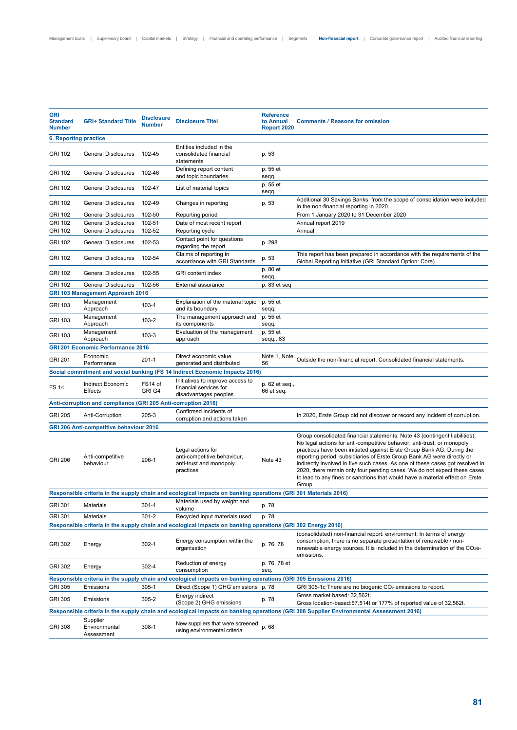| <b>GRI</b><br><b>Standard</b><br><b>Number</b> | <b>GRI+ Standard Title</b>                                    | <b>Disclosure</b><br><b>Number</b> | <b>Disclosure Titel</b>                                                                                        | <b>Reference</b><br>to Annual<br><b>Report 2020</b> | <b>Comments / Reasons for omission</b>                                                                                                                                                                                                                                                                                                                                                                                                                                                                                                                          |
|------------------------------------------------|---------------------------------------------------------------|------------------------------------|----------------------------------------------------------------------------------------------------------------|-----------------------------------------------------|-----------------------------------------------------------------------------------------------------------------------------------------------------------------------------------------------------------------------------------------------------------------------------------------------------------------------------------------------------------------------------------------------------------------------------------------------------------------------------------------------------------------------------------------------------------------|
| 6. Reporting practice                          |                                                               |                                    |                                                                                                                |                                                     |                                                                                                                                                                                                                                                                                                                                                                                                                                                                                                                                                                 |
| <b>GRI 102</b>                                 | <b>General Disclosures</b>                                    | 102-45                             | Entities included in the<br>consolidated financial<br>statements                                               | p. 53                                               |                                                                                                                                                                                                                                                                                                                                                                                                                                                                                                                                                                 |
| <b>GRI 102</b>                                 | General Disclosures                                           | 102-46                             | Defining report content<br>and topic boundaries                                                                | p. 55 et<br>seqq.                                   |                                                                                                                                                                                                                                                                                                                                                                                                                                                                                                                                                                 |
| <b>GRI 102</b>                                 | <b>General Disclosures</b>                                    | 102-47                             | List of material topics                                                                                        | p. 55 et<br>seqq.                                   |                                                                                                                                                                                                                                                                                                                                                                                                                                                                                                                                                                 |
| <b>GRI 102</b>                                 | <b>General Disclosures</b>                                    | 102-49                             | Changes in reporting                                                                                           | p. 53                                               | Additional 30 Savings Banks from the scope of consolidation were included<br>in the non-financial reporting in 2020.                                                                                                                                                                                                                                                                                                                                                                                                                                            |
| <b>GRI 102</b>                                 | <b>General Disclosures</b>                                    | 102-50                             | Reporting period                                                                                               |                                                     | From 1 January 2020 to 31 December 2020                                                                                                                                                                                                                                                                                                                                                                                                                                                                                                                         |
| <b>GRI 102</b>                                 | <b>General Disclosures</b>                                    | 102-51                             | Date of most recent report                                                                                     |                                                     | Annual report 2019                                                                                                                                                                                                                                                                                                                                                                                                                                                                                                                                              |
| <b>GRI 102</b>                                 | <b>General Disclosures</b>                                    | 102-52                             | Reporting cycle                                                                                                |                                                     | Annual                                                                                                                                                                                                                                                                                                                                                                                                                                                                                                                                                          |
| <b>GRI 102</b>                                 | <b>General Disclosures</b>                                    | 102-53                             | Contact point for questions<br>regarding the report                                                            | p. 298                                              |                                                                                                                                                                                                                                                                                                                                                                                                                                                                                                                                                                 |
| <b>GRI 102</b>                                 | <b>General Disclosures</b>                                    | 102-54                             | Claims of reporting in<br>accordance with GRI Standards                                                        | p. 53                                               | This report has been prepared in accordance with the requirements of the<br>Global Reporting Initiative (GRI Standard Option: Core).                                                                                                                                                                                                                                                                                                                                                                                                                            |
| <b>GRI 102</b>                                 | <b>General Disclosures</b>                                    | 102-55                             | <b>GRI</b> content index                                                                                       | p. 80 et<br>seqq.                                   |                                                                                                                                                                                                                                                                                                                                                                                                                                                                                                                                                                 |
| <b>GRI 102</b>                                 | <b>General Disclosures</b>                                    | 102-56                             | External assurance                                                                                             | p. 83 et seq                                        |                                                                                                                                                                                                                                                                                                                                                                                                                                                                                                                                                                 |
|                                                | <b>GRI 103 Management Approach 2016</b>                       |                                    |                                                                                                                |                                                     |                                                                                                                                                                                                                                                                                                                                                                                                                                                                                                                                                                 |
| GRI 103                                        | Management<br>Approach                                        | $103-1$                            | Explanation of the material topic<br>and its boundary                                                          | p. 55 et<br>seqq.                                   |                                                                                                                                                                                                                                                                                                                                                                                                                                                                                                                                                                 |
| GRI 103                                        | Management<br>Approach                                        | 103-2                              | The management approach and<br>its components                                                                  | p. 55 et<br>seqq.                                   |                                                                                                                                                                                                                                                                                                                                                                                                                                                                                                                                                                 |
| <b>GRI 103</b>                                 | Management<br>Approach                                        | $103-3$                            | Evaluation of the management<br>approach                                                                       | p. 55 et<br>seqq., $83$                             |                                                                                                                                                                                                                                                                                                                                                                                                                                                                                                                                                                 |
|                                                | <b>GRI 201 Economic Performance 2016</b>                      |                                    |                                                                                                                |                                                     |                                                                                                                                                                                                                                                                                                                                                                                                                                                                                                                                                                 |
| <b>GRI 201</b>                                 | Economic<br>Performance                                       | $201 - 1$                          | Direct economic value<br>generated and distributed                                                             | Note 1, Note<br>56                                  | Outside the non-financial report. Consolidated financial statements.                                                                                                                                                                                                                                                                                                                                                                                                                                                                                            |
|                                                |                                                               |                                    | Social commitment and social banking (FS 14 Indirect Economic Impacts 2016)                                    |                                                     |                                                                                                                                                                                                                                                                                                                                                                                                                                                                                                                                                                 |
| <b>FS 14</b>                                   | Indirect Economic<br><b>Effects</b>                           | FS14 of<br>GRI G4                  | Initiatives to improve access to<br>financial services for<br>disadvantages peoples                            | p. 62 et seq.,<br>66 et seq.                        |                                                                                                                                                                                                                                                                                                                                                                                                                                                                                                                                                                 |
|                                                | Anti-corruption and compliance (GRI 205 Anti-corruption 2016) |                                    |                                                                                                                |                                                     |                                                                                                                                                                                                                                                                                                                                                                                                                                                                                                                                                                 |
| <b>GRI 205</b>                                 | Anti-Corruption                                               | $205-3$                            | Confirmed incidents of<br>corruption and actions taken                                                         |                                                     | In 2020, Erste Group did not discover or record any incident of corruption.                                                                                                                                                                                                                                                                                                                                                                                                                                                                                     |
|                                                | <b>GRI 206 Anti-competitive behaviour 2016</b>                |                                    |                                                                                                                |                                                     |                                                                                                                                                                                                                                                                                                                                                                                                                                                                                                                                                                 |
| <b>GRI 206</b>                                 | Anti-competitive<br>behaviour                                 | 206-1                              | Legal actions for<br>anti-competitive behaviour,<br>anti-trust and monopoly<br>practices                       | Note 43                                             | Group consolidated financial statements: Note 43 (contingent liabilities);<br>No legal actions for anti-competitive behavior, anti-trust, or monopoly<br>practices have been initiated against Erste Group Bank AG. During the<br>reporting period, subsidiaries of Erste Group Bank AG were directly or<br>indirectly involved in five such cases. As one of these cases got resolved in<br>2020, there remain only four pending cases. We do not expect these cases<br>to lead to any fines or sanctions that would have a material effect on Erste<br>Group. |
|                                                |                                                               |                                    | Responsible criteria in the supply chain and ecological impacts on banking operations (GRI 301 Materials 2016) |                                                     |                                                                                                                                                                                                                                                                                                                                                                                                                                                                                                                                                                 |
| GRI 301                                        | Materials                                                     | $301 - 1$                          | Materials used by weight and<br>volume                                                                         | p. 78                                               |                                                                                                                                                                                                                                                                                                                                                                                                                                                                                                                                                                 |
| <b>GRI 301</b>                                 | Materials                                                     | $301 - 2$                          | Recycled input materials used                                                                                  | p. 78                                               |                                                                                                                                                                                                                                                                                                                                                                                                                                                                                                                                                                 |
|                                                |                                                               |                                    | Responsible criteria in the supply chain and ecological impacts on banking operations (GRI 302 Energy 2016)    |                                                     |                                                                                                                                                                                                                                                                                                                                                                                                                                                                                                                                                                 |
| <b>GRI 302</b>                                 | Energy                                                        | $302 - 1$                          | Energy consumption within the<br>organisation                                                                  | p. 76, 78                                           | (consolidated) non-financial report: environment; In terms of energy<br>consumption, there is no separate presentation of renewable / non-<br>renewable energy sources. It is included in the determination of the $CO2e-$<br>emissions.                                                                                                                                                                                                                                                                                                                        |
| <b>GRI 302</b>                                 | Energy                                                        | 302-4                              | Reduction of energy<br>consumption                                                                             | p. 76, 78 et<br>seq.                                |                                                                                                                                                                                                                                                                                                                                                                                                                                                                                                                                                                 |
|                                                |                                                               |                                    | Responsible criteria in the supply chain and ecological impacts on banking operations (GRI 305 Emissions 2016) |                                                     |                                                                                                                                                                                                                                                                                                                                                                                                                                                                                                                                                                 |
| GRI 305                                        | Emissions                                                     | $305 - 1$                          | Direct (Scope 1) GHG emissions p. 78                                                                           |                                                     | GRI 305-1c There are no biogenic $CO2$ emissions to report.                                                                                                                                                                                                                                                                                                                                                                                                                                                                                                     |
| <b>GRI 305</b>                                 | Emissions                                                     | $305 - 2$                          | Energy indirect<br>(Scope 2) GHG emissions                                                                     | p. 78                                               | Gross market based: 32,562t;<br>Gross location-based: 57, 514t or 177% of reported value of 32, 562t.                                                                                                                                                                                                                                                                                                                                                                                                                                                           |
|                                                |                                                               |                                    |                                                                                                                |                                                     | Responsible criteria in the supply chain and ecological impacts on banking operations (GRI 308 Supplier Environmental Assessment 2016)                                                                                                                                                                                                                                                                                                                                                                                                                          |
| <b>GRI 308</b>                                 | Supplier<br>Environmental<br>Assessment                       | $308-1$                            | New suppliers that were screened<br>using environmental criteria                                               | p. 68                                               |                                                                                                                                                                                                                                                                                                                                                                                                                                                                                                                                                                 |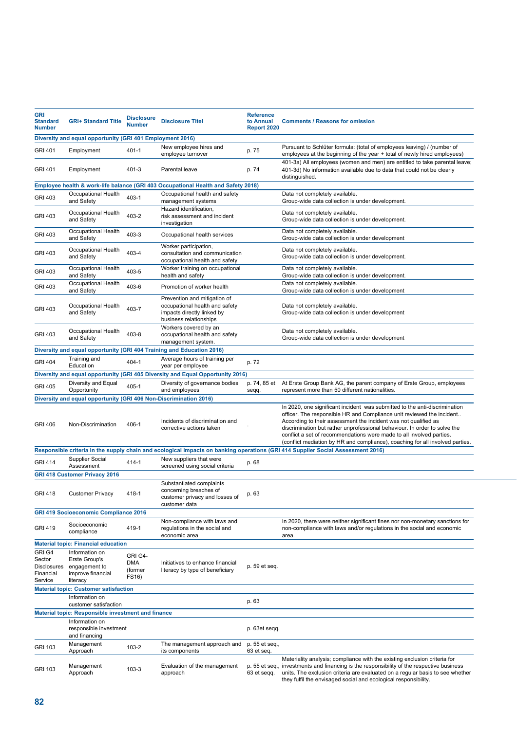| <b>GRI</b><br><b>Standard</b><br><b>Number</b>                 | <b>GRI+ Standard Title</b>                                                        | <b>Disclosure</b><br><b>Number</b>        | <b>Disclosure Titel</b>                                                                                                | <b>Reference</b><br>to Annual<br>Report 2020 | <b>Comments / Reasons for omission</b>                                                                                                                                                                                                                                                                                                                                                                                                                       |  |
|----------------------------------------------------------------|-----------------------------------------------------------------------------------|-------------------------------------------|------------------------------------------------------------------------------------------------------------------------|----------------------------------------------|--------------------------------------------------------------------------------------------------------------------------------------------------------------------------------------------------------------------------------------------------------------------------------------------------------------------------------------------------------------------------------------------------------------------------------------------------------------|--|
| Diversity and equal opportunity (GRI 401 Employment 2016)      |                                                                                   |                                           |                                                                                                                        |                                              |                                                                                                                                                                                                                                                                                                                                                                                                                                                              |  |
| <b>GRI 401</b>                                                 | Employment                                                                        | $401 - 1$                                 | New employee hires and<br>employee turnover                                                                            | p. 75                                        | Pursuant to Schlüter formula: (total of employees leaving) / (number of<br>employees at the beginning of the year + total of newly hired employees)                                                                                                                                                                                                                                                                                                          |  |
| <b>GRI 401</b>                                                 | Employment                                                                        | 401-3                                     | Parental leave                                                                                                         | p. 74                                        | 401-3a) All employees (women and men) are entitled to take parental leave;<br>401-3d) No information available due to data that could not be clearly<br>distinguished.                                                                                                                                                                                                                                                                                       |  |
|                                                                |                                                                                   |                                           | Employee health & work-life balance (GRI 403 Occupational Health and Safety 2018)                                      |                                              |                                                                                                                                                                                                                                                                                                                                                                                                                                                              |  |
| <b>GRI 403</b>                                                 | Occupational Health<br>and Safety                                                 | 403-1                                     | Occupational health and safety<br>management systems                                                                   |                                              | Data not completely available.<br>Group-wide data collection is under development.                                                                                                                                                                                                                                                                                                                                                                           |  |
| <b>GRI 403</b>                                                 | <b>Occupational Health</b><br>and Safety                                          | 403-2                                     | Hazard identification,<br>risk assessment and incident<br>investigation                                                |                                              | Data not completely available.<br>Group-wide data collection is under development.                                                                                                                                                                                                                                                                                                                                                                           |  |
| GRI 403                                                        | Occupational Health<br>and Safety                                                 | 403-3                                     | Occupational health services                                                                                           |                                              | Data not completely available.<br>Group-wide data collection is under development                                                                                                                                                                                                                                                                                                                                                                            |  |
| <b>GRI 403</b>                                                 | Occupational Health<br>and Safety                                                 | 403-4                                     | Worker participation,<br>consultation and communication<br>occupational health and safety                              |                                              | Data not completely available.<br>Group-wide data collection is under development.                                                                                                                                                                                                                                                                                                                                                                           |  |
| <b>GRI 403</b>                                                 | Occupational Health<br>and Safety                                                 | 403-5                                     | Worker training on occupational<br>health and safety                                                                   |                                              | Data not completely available.<br>Group-wide data collection is under development.                                                                                                                                                                                                                                                                                                                                                                           |  |
| <b>GRI 403</b>                                                 | Occupational Health<br>and Safety                                                 | 403-6                                     | Promotion of worker health                                                                                             |                                              | Data not completely available.<br>Group-wide data collection is under development                                                                                                                                                                                                                                                                                                                                                                            |  |
| <b>GRI 403</b>                                                 | Occupational Health<br>and Safety                                                 | 403-7                                     | Prevention and mitigation of<br>occupational health and safety<br>impacts directly linked by<br>business relationships |                                              | Data not completely available.<br>Group-wide data collection is under development                                                                                                                                                                                                                                                                                                                                                                            |  |
| <b>GRI 403</b>                                                 | Occupational Health<br>and Safety                                                 | 403-8                                     | Workers covered by an<br>occupational health and safety<br>management system.                                          |                                              | Data not completely available.<br>Group-wide data collection is under development                                                                                                                                                                                                                                                                                                                                                                            |  |
|                                                                |                                                                                   |                                           | Diversity and equal opportunity (GRI 404 Training and Education 2016)                                                  |                                              |                                                                                                                                                                                                                                                                                                                                                                                                                                                              |  |
| <b>GRI 404</b>                                                 | Training and                                                                      | 404-1                                     | Average hours of training per                                                                                          | p. 72                                        |                                                                                                                                                                                                                                                                                                                                                                                                                                                              |  |
|                                                                | Education                                                                         |                                           | year per employee                                                                                                      |                                              |                                                                                                                                                                                                                                                                                                                                                                                                                                                              |  |
|                                                                | Diversity and Equal                                                               |                                           | Diversity and equal opportunity (GRI 405 Diversity and Equal Opportunity 2016)<br>Diversity of governance bodies       | p. 74, 85 et                                 | At Erste Group Bank AG, the parent company of Erste Group, employees                                                                                                                                                                                                                                                                                                                                                                                         |  |
| <b>GRI 405</b>                                                 | Opportunity                                                                       | 405-1                                     | and employees                                                                                                          | seqq.                                        | represent more than 50 different nationalities.                                                                                                                                                                                                                                                                                                                                                                                                              |  |
|                                                                | Diversity and equal opportunity (GRI 406 Non-Discrimination 2016)                 |                                           |                                                                                                                        |                                              |                                                                                                                                                                                                                                                                                                                                                                                                                                                              |  |
| <b>GRI 406</b>                                                 | Non-Discrimination                                                                | 406-1                                     | Incidents of discrimination and<br>corrective actions taken                                                            |                                              | In 2020, one significant incident was submitted to the anti-discrimination<br>officer. The responsible HR and Compliance unit reviewed the incident<br>According to their assessment the incident was not qualified as<br>discrimination but rather unprofessional behaviour. In order to solve the<br>conflict a set of recommendations were made to all involved parties.<br>(conflict mediation by HR and compliance), coaching for all involved parties. |  |
|                                                                |                                                                                   |                                           |                                                                                                                        |                                              | Responsible criteria in the supply chain and ecological impacts on banking operations (GRI 414 Supplier Social Assessment 2016)                                                                                                                                                                                                                                                                                                                              |  |
| <b>GRI 414</b>                                                 | Supplier Social<br>Assessment                                                     | 414-1                                     | New suppliers that were<br>screened using social criteria                                                              | p. 68                                        |                                                                                                                                                                                                                                                                                                                                                                                                                                                              |  |
|                                                                | <b>GRI 418 Customer Privacy 2016</b>                                              |                                           |                                                                                                                        |                                              |                                                                                                                                                                                                                                                                                                                                                                                                                                                              |  |
| <b>GRI 418</b>                                                 | Customer Privacy                                                                  | 418-1                                     | Substantiated complaints<br>concerning breaches of<br>customer privacy and losses of<br>customer data                  | p. 63                                        |                                                                                                                                                                                                                                                                                                                                                                                                                                                              |  |
| <b>GRI 419 Socioeconomic Compliance 2016</b>                   |                                                                                   |                                           |                                                                                                                        |                                              |                                                                                                                                                                                                                                                                                                                                                                                                                                                              |  |
| <b>GRI 419</b>                                                 | Socioeconomic<br>compliance                                                       | 419-1                                     | Non-compliance with laws and<br>regulations in the social and<br>economic area                                         |                                              | In 2020, there were neither significant fines nor non-monetary sanctions for<br>non-compliance with laws and/or regulations in the social and economic<br>area.                                                                                                                                                                                                                                                                                              |  |
|                                                                | <b>Material topic: Financial education</b>                                        |                                           |                                                                                                                        |                                              |                                                                                                                                                                                                                                                                                                                                                                                                                                                              |  |
| GRI G4<br>Sector<br><b>Disclosures</b><br>Financial<br>Service | Information on<br>Erste Group's<br>engagement to<br>improve financial<br>literacy | GRI G4-<br><b>DMA</b><br>(former<br>FS16) | Initiatives to enhance financial<br>literacy by type of beneficiary                                                    | p. 59 et seq.                                |                                                                                                                                                                                                                                                                                                                                                                                                                                                              |  |
|                                                                | <b>Material topic: Customer satisfaction</b>                                      |                                           |                                                                                                                        |                                              |                                                                                                                                                                                                                                                                                                                                                                                                                                                              |  |
|                                                                | Information on<br>customer satisfaction                                           |                                           |                                                                                                                        | p. 63                                        |                                                                                                                                                                                                                                                                                                                                                                                                                                                              |  |
| <b>Material topic: Responsible investment and finance</b>      |                                                                                   |                                           |                                                                                                                        |                                              |                                                                                                                                                                                                                                                                                                                                                                                                                                                              |  |
|                                                                | Information on<br>responsible investment<br>and financing                         |                                           |                                                                                                                        | p. 63et seqq.                                |                                                                                                                                                                                                                                                                                                                                                                                                                                                              |  |
| GRI 103                                                        | Management<br>Approach                                                            | 103-2                                     | The management approach and<br>its components                                                                          | p. 55 et seq.,<br>63 et seq.                 |                                                                                                                                                                                                                                                                                                                                                                                                                                                              |  |
| GRI 103                                                        | Management<br>Approach                                                            | 103-3                                     | Evaluation of the management<br>approach                                                                               | 63 et seqq.                                  | Materiality analysis; compliance with the existing exclusion criteria for<br>p. 55 et seq., investments and financing is the responsibility of the respective business<br>units. The exclusion criteria are evaluated on a regular basis to see whether<br>they fulfil the envisaged social and ecological responsibility.                                                                                                                                   |  |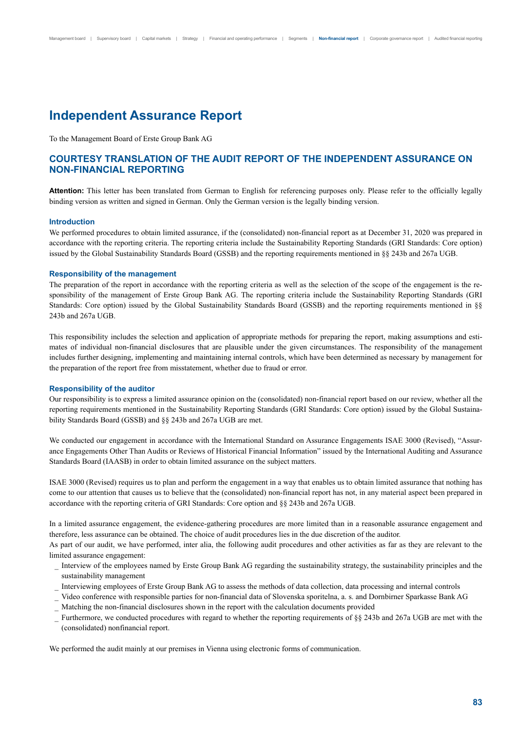# **Independent Assurance Report**

To the Management Board of Erste Group Bank AG

# **COURTESY TRANSLATION OF THE AUDIT REPORT OF THE INDEPENDENT ASSURANCE ON NON-FINANCIAL REPORTING**

Attention: This letter has been translated from German to English for referencing purposes only. Please refer to the officially legally binding version as written and signed in German. Only the German version is the legally binding version.

### **Introduction**

We performed procedures to obtain limited assurance, if the (consolidated) non-financial report as at December 31, 2020 was prepared in accordance with the reporting criteria. The reporting criteria include the Sustainability Reporting Standards (GRI Standards: Core option) issued by the Global Sustainability Standards Board (GSSB) and the reporting requirements mentioned in §§ 243b and 267a UGB.

#### **Responsibility of the management**

The preparation of the report in accordance with the reporting criteria as well as the selection of the scope of the engagement is the responsibility of the management of Erste Group Bank AG. The reporting criteria include the Sustainability Reporting Standards (GRI Standards: Core option) issued by the Global Sustainability Standards Board (GSSB) and the reporting requirements mentioned in §§ 243b and 267a UGB.

This responsibility includes the selection and application of appropriate methods for preparing the report, making assumptions and estimates of individual non-financial disclosures that are plausible under the given circumstances. The responsibility of the management includes further designing, implementing and maintaining internal controls, which have been determined as necessary by management for the preparation of the report free from misstatement, whether due to fraud or error.

#### **Responsibility of the auditor**

Our responsibility is to express a limited assurance opinion on the (consolidated) non-financial report based on our review, whether all the reporting requirements mentioned in the Sustainability Reporting Standards (GRI Standards: Core option) issued by the Global Sustainability Standards Board (GSSB) and §§ 243b and 267a UGB are met.

We conducted our engagement in accordance with the International Standard on Assurance Engagements ISAE 3000 (Revised), "Assurance Engagements Other Than Audits or Reviews of Historical Financial Information" issued by the International Auditing and Assurance Standards Board (IAASB) in order to obtain limited assurance on the subject matters.

ISAE 3000 (Revised) requires us to plan and perform the engagement in a way that enables us to obtain limited assurance that nothing has come to our attention that causes us to believe that the (consolidated) non-financial report has not, in any material aspect been prepared in accordance with the reporting criteria of GRI Standards: Core option and §§ 243b and 267a UGB.

In a limited assurance engagement, the evidence-gathering procedures are more limited than in a reasonable assurance engagement and therefore, less assurance can be obtained. The choice of audit procedures lies in the due discretion of the auditor.

As part of our audit, we have performed, inter alia, the following audit procedures and other activities as far as they are relevant to the limited assurance engagement:

- \_ Interview of the employees named by Erste Group Bank AG regarding the sustainability strategy, the sustainability principles and the sustainability management
- \_ Interviewing employees of Erste Group Bank AG to assess the methods of data collection, data processing and internal controls
- \_ Video conference with responsible parties for non-financial data of Slovenska sporitelna, a. s. and Dornbirner Sparkasse Bank AG
- \_ Matching the non-financial disclosures shown in the report with the calculation documents provided
- Furthermore, we conducted procedures with regard to whether the reporting requirements of §§ 243b and 267a UGB are met with the (consolidated) nonfinancial report.

We performed the audit mainly at our premises in Vienna using electronic forms of communication.